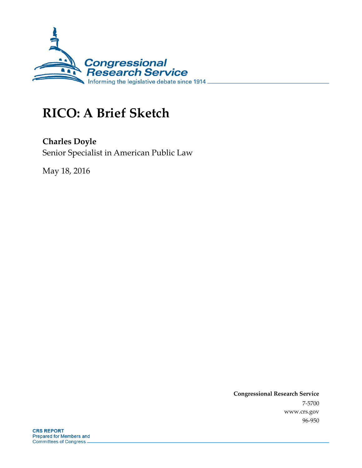

# **RICO: A Brief Sketch**

**Charles Doyle**

Senior Specialist in American Public Law

May 18, 2016

**Congressional Research Service** 7-5700 www.crs.gov 96-950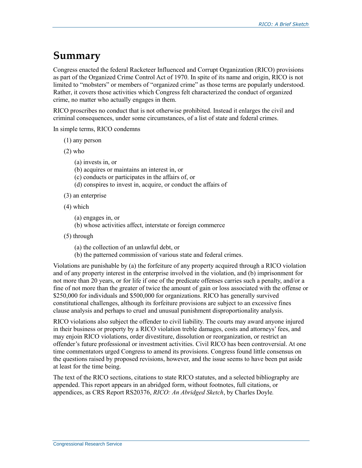# **Summary**

Congress enacted the federal Racketeer Influenced and Corrupt Organization (RICO) provisions as part of the Organized Crime Control Act of 1970. In spite of its name and origin, RICO is not limited to "mobsters" or members of "organized crime" as those terms are popularly understood. Rather, it covers those activities which Congress felt characterized the conduct of organized crime, no matter who actually engages in them.

RICO proscribes no conduct that is not otherwise prohibited. Instead it enlarges the civil and criminal consequences, under some circumstances, of a list of state and federal crimes.

In simple terms, RICO condemns

(1) any person

(2) who

- (a) invests in, or
- (b) acquires or maintains an interest in, or
- (c) conducts or participates in the affairs of, or
- (d) conspires to invest in, acquire, or conduct the affairs of
- (3) an enterprise
- (4) which
	- (a) engages in, or
	- (b) whose activities affect, interstate or foreign commerce
- (5) through
	- (a) the collection of an unlawful debt, or
	- (b) the patterned commission of various state and federal crimes.

Violations are punishable by (a) the forfeiture of any property acquired through a RICO violation and of any property interest in the enterprise involved in the violation, and (b) imprisonment for not more than 20 years, or for life if one of the predicate offenses carries such a penalty, and/or a fine of not more than the greater of twice the amount of gain or loss associated with the offense or \$250,000 for individuals and \$500,000 for organizations. RICO has generally survived constitutional challenges, although its forfeiture provisions are subject to an excessive fines clause analysis and perhaps to cruel and unusual punishment disproportionality analysis.

RICO violations also subject the offender to civil liability. The courts may award anyone injured in their business or property by a RICO violation treble damages, costs and attorneys' fees, and may enjoin RICO violations, order divestiture, dissolution or reorganization, or restrict an offender's future professional or investment activities. Civil RICO has been controversial. At one time commentators urged Congress to amend its provisions. Congress found little consensus on the questions raised by proposed revisions, however, and the issue seems to have been put aside at least for the time being.

The text of the RICO sections, citations to state RICO statutes, and a selected bibliography are appended. This report appears in an abridged form, without footnotes, full citations, or appendices, as CRS Report RS20376, *RICO: An Abridged Sketch*, by Charles Doyle*.*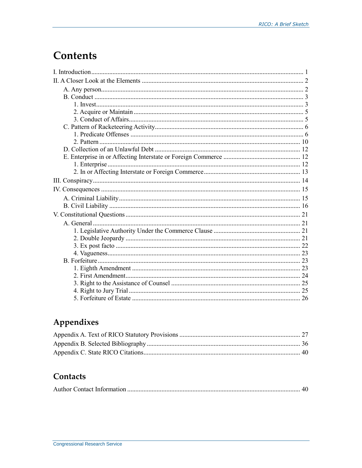# Contents

# Appendixes

# Contacts

|--|--|--|--|--|--|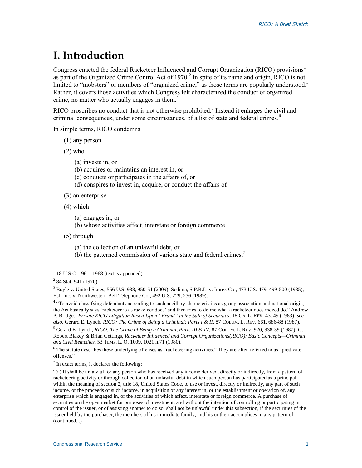# **I. Introduction**

Congress enacted the federal Racketeer Influenced and Corrupt Organization (RICO) provisions<sup>1</sup> as part of the Organized Crime Control Act of 1970.<sup>2</sup> In spite of its name and origin, RICO is not limited to "mobsters" or members of "organized crime," as those terms are popularly understood.<sup>3</sup> Rather, it covers those activities which Congress felt characterized the conduct of organized crime, no matter who actually engages in them.<sup>4</sup>

RICO proscribes no conduct that is not otherwise prohibited.<sup>5</sup> Instead it enlarges the civil and criminal consequences, under some circumstances, of a list of state and federal crimes. 6

In simple terms, RICO condemns

(1) any person

(2) who

- (a) invests in, or
- (b) acquires or maintains an interest in, or
- (c) conducts or participates in the affairs of, or
- (d) conspires to invest in, acquire, or conduct the affairs of
- (3) an enterprise
- (4) which
	- (a) engages in, or
	- (b) whose activities affect, interstate or foreign commerce
- (5) through
	- (a) the collection of an unlawful debt, or
	- (b) the patterned commission of various state and federal crimes.<sup>7</sup>

<sup>5</sup> Gerard E. Lynch, *RICO: The Crime of Being a Criminal, Parts III & IV*, 87 COLUM. L. REV. 920, 938-39 (1987); G. Robert Blakey & Brian Gettings, *Racketeer Influenced and Corrupt Organizations(RICO): Basic Concepts—Criminal and Civil Remedies*, 53 TEMP. L. Q. 1009, 1021 n.71 (1980).

<sup>6</sup> The statute describes these underlying offenses as "racketeering activities." They are often referred to as "predicate offenses."

 $7$  In exact terms, it declares the following:

 1 18 U.S.C. 1961 -1968 (text is appended).

<sup>&</sup>lt;sup>2</sup> 84 Stat. 941 (1970).

<sup>3</sup> Boyle v. United States, 556 U.S. 938, 950-51 (2009); Sedima, S.P.R.L. v. Imrex Co., 473 U.S. 479, 499-500 (1985); H.J. Inc. v. Northwestern Bell Telephone Co*.,* 492 U.S. 229, 236 (1989).

<sup>&</sup>lt;sup>4</sup> "To avoid classifying defendants according to such ancillary characteristics as group association and national origin, the Act basically says 'racketeer is as racketeer does' and then tries to define what a racketeer does indeed do." Andrew P. Bridges, *Private RICO Litigation Based Upon "Fraud" in the Sale of Securities*, 18 GA. L. REV. 43, 49 (1983); *see also*, Gerard E. Lynch, *RICO: The Crime of Being a Criminal: Parts I & II*, 87 COLUM. L. REV. 661, 686-88 (1987).

<sup>&</sup>quot;(a) It shall be unlawful for any person who has received any income derived, directly or indirectly, from a pattern of racketeering activity or through collection of an unlawful debt in which such person has participated as a principal within the meaning of section 2, title 18, United States Code, to use or invest, directly or indirectly, any part of such income, or the proceeds of such income, in acquisition of any interest in, or the establishment or operation of, any enterprise which is engaged in, or the activities of which affect, interstate or foreign commerce. A purchase of securities on the open market for purposes of investment, and without the intention of controlling or participating in control of the issuer, or of assisting another to do so, shall not be unlawful under this subsection, if the securities of the issuer held by the purchaser, the members of his immediate family, and his or their accomplices in any pattern of (continued...)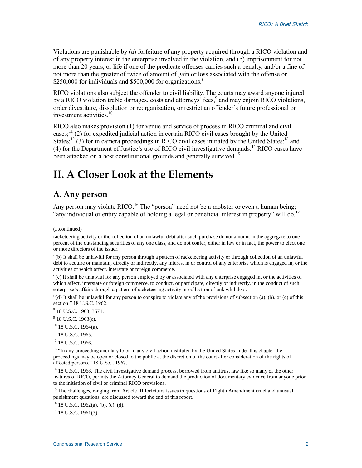Violations are punishable by (a) forfeiture of any property acquired through a RICO violation and of any property interest in the enterprise involved in the violation, and (b) imprisonment for not more than 20 years, or life if one of the predicate offenses carries such a penalty, and/or a fine of not more than the greater of twice of amount of gain or loss associated with the offense or \$250,000 for individuals and \$500,000 for organizations.<sup>8</sup>

RICO violations also subject the offender to civil liability. The courts may award anyone injured by a RICO violation treble damages, costs and attorneys' fees,<sup>9</sup> and may enjoin RICO violations, order divestiture, dissolution or reorganization, or restrict an offender's future professional or investment activities.<sup>10</sup>

RICO also makes provision (1) for venue and service of process in RICO criminal and civil cases;<sup>11</sup> (2) for expedited judicial action in certain RICO civil cases brought by the United States;<sup>12</sup>(3) for in camera proceedings in RICO civil cases initiated by the United States;<sup>13</sup> and (4) for the Department of Justice's use of RICO civil investigative demands.<sup>14</sup> RICO cases have been attacked on a host constitutional grounds and generally survived.<sup>15</sup>

# **II. A Closer Look at the Elements**

## **A. Any person**

Any person may violate RICO.<sup>16</sup> The "person" need not be a mobster or even a human being; "any individual or entity capable of holding a legal or beneficial interest in property" will do.<sup>17</sup>

 $\overline{a}$ 

"(b) It shall be unlawful for any person through a pattern of racketeering activity or through collection of an unlawful debt to acquire or maintain, directly or indirectly, any interest in or control of any enterprise which is engaged in, or the activities of which affect, interstate or foreign commerce.

"(c) It shall be unlawful for any person employed by or associated with any enterprise engaged in, or the activities of which affect, interstate or foreign commerce, to conduct, or participate, directly or indirectly, in the conduct of such enterprise's affairs through a pattern of racketeering activity or collection of unlawful debt.

"(d) It shall be unlawful for any person to conspire to violate any of the provisions of subsection (a), (b), or (c) of this section." 18 U.S.C. 1962.

8 18 U.S.C. 1963, 3571.

 $9$  18 U.S.C. 1963(c).

 $10$  18 U.S.C. 1964(a).

<sup>11</sup> 18 U.S.C. 1965.

 $12$  18 U.S.C. 1966.

<sup>13</sup> "In any proceeding ancillary to or in any civil action instituted by the United States under this chapter the proceedings may be open or closed to the public at the discretion of the court after consideration of the rights of affected persons." 18 U.S.C. 1967.

<sup>14</sup> 18 U.S.C. 1968. The civil investigative demand process, borrowed from antitrust law like so many of the other features of RICO, permits the Attorney General to demand the production of documentary evidence from anyone prior to the initiation of civil or criminal RICO provisions.

<sup>15</sup> The challenges, ranging from Article III forfeiture issues to questions of Eighth Amendment cruel and unusual punishment questions, are discussed toward the end of this report.

<sup>16</sup> 18 U.S.C. 1962(a), (b), (c), (d).

 $17$  18 U.S.C. 1961(3).

<sup>(...</sup>continued)

racketeering activity or the collection of an unlawful debt after such purchase do not amount in the aggregate to one percent of the outstanding securities of any one class, and do not confer, either in law or in fact, the power to elect one or more directors of the issuer.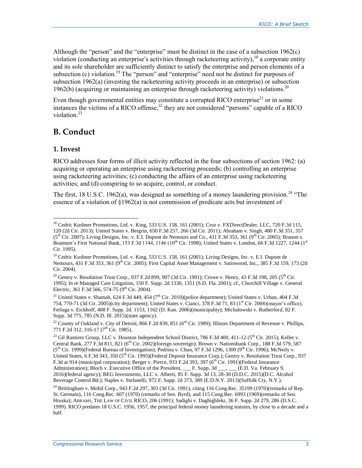Although the "person" and the "enterprise" must be distinct in the case of a subsection 1962(c) violation (conducting an enterprise's activities through racketeering activity),<sup>18</sup> a corporate entity and its sole shareholder are sufficiently distinct to satisfy the enterprise and person elements of a subsection (c) violation.<sup>19</sup> The "person" and "enterprise" need not be distinct for purposes of subsection 1962(a) (investing the racketeering activity proceeds in an enterprise) or subsection 1962(b) (acquiring or maintaining an enterprise through racketeering activity) violations.<sup>20</sup>

Even though governmental entities may constitute a corrupted RICO enterprise<sup>21</sup> or in some instances the victims of a RICO offense,<sup>22</sup> they are not considered "persons" capable of a RICO violation.<sup>23</sup>

## **B. Conduct**

### **1. Invest**

 $\overline{a}$ 

RICO addresses four forms of illicit activity reflected in the four subsections of section 1962: (a) acquiring or operating an enterprise using racketeering proceeds; (b) controlling an enterprise using racketeering activities; (c) conducting the affairs of an enterprise using racketeering activities; and (d) conspiring to so acquire, control, or conduct.

The first, 18 U.S.C. 1962(a), was designed as something of a money laundering provision.<sup>24</sup> "The essence of a violation of §1962(a) is not commission of predicate acts but investment of

<sup>21</sup> United States v. Shamah, 624 F.3d 449, 454 (7<sup>th</sup> Cir. 2010)(police department); United States v. Urban, 404 F.3d 754, 770-71 (3d Cir. 2005)(city department); United States v. Cianci, 378 F.3d 71, 83 (1<sup>st</sup> Cir. 2004)(mayor's office); Ferluga v. Eickhoff, 408 F. Supp. 2d. 1153, 1162 (D. Kan. 2006)(municipality); Michalowski v. Rutherfor*d*, 82 F. Supp. 3d 775, 785 (N.D. Ill. 2015)(state agency).

<sup>&</sup>lt;sup>18</sup> Cedric Kushner Promotions, Ltd. v. King, 533 U.S. 158, 161 (2001); Cruz v. FXDirectDealer, LLC, 720 F.3d 115, 120 (2d Cir. 2013); United States v. Bergrin, 650 F.3d 257, 266 (3d Cir. 2011); Abraham v. Singh, 480 F.3d 351, 357  $(5^{th}$  Cir. 2007); Living Designs, Inc. v. E.I. Dupont de Nemours and Co., 431 F.3d 353, 361 (9<sup>th</sup> Cir. 2005); Branon v. Boatmen's First National Bank, 153 F.3d 1144, 1146 (10<sup>th</sup> Cir. 1998); United States v. London, 66 F.3d 1227, 1244 (1st Cir. 1995).

<sup>&</sup>lt;sup>19</sup> Cedric Kushner Promotions, Ltd. v. King, 533 U.S. 158, 161 (2001); Living Designs, Inc. v. E.I. Dupont de Nemours, 431 F.3d 353, 361 (9<sup>th</sup> Cir. 2005); First Capital Asset Management v. Satinwood, Inc., 385 F.3d 159, 173 (2d Cir. 2004).

<sup>&</sup>lt;sup>20</sup> Gentry v. Resolution Trust Corp., 937 F.2d 899, 907 (3d Cir. 1991); Crowe v. Henry, 43 F.3d 198, 205 (5<sup>th</sup> Cir. 1995); In re Managed Care Litigation, 150 F. Supp. 2d 1330, 1351 (S.D. Fla. 2001); cf., Churchill Village v. General Electric, 361 F.3d 566, 574-75 ( $9<sup>th</sup>$  Cir. 2004).

<sup>&</sup>lt;sup>22</sup> County of Oakland v. City of Detroit, 866 F.2d 839, 851 (6<sup>th</sup> Cir. 1989); Illinois Department of Revenue v. Phillips, 771 F.2d 312, 316-17 (7<sup>th</sup> Cir. 1985).

<sup>&</sup>lt;sup>23</sup> Gil Ramirez Group, LLC v. Houston Independent School District, 786 F.3d 400, 411-12 (5<sup>th</sup> Cir. 2015); Keller v. Central Bank, 277 F.3d 811, 821 (6<sup>th</sup> Cir. 2002)(foreign sovereign); Brown v. Nationsbank Corp., 188 F.3d 579, 587  $(5^{th}$  Cir. 1999)(Federal Bureau of Investigation); Pedrina v. Chun, 97 F.3d 1296, 1300 (9<sup>th</sup> Cir. 1996); McNeily v. United States, 6 F.3d 343, 350 (5<sup>th</sup> Cir. 1993)(Federal Deposit Insurance Corp.); Gentry v. Resolution Trust Corp., 937 F.3d at 914 (municipal corporation); Berger v. Pierce, 933 F.2d 393, 397 (6<sup>th</sup> Cir. 1991)(Federal Insurance Administration); Bloch v. Executive Office of the President, \_\_\_ F. Supp. 3d \_\_\_, \_\_\_ (E.D. Va. February 9, 2016)(federal agency); BEG Investments, LLC v. Alberti, 85 F. Supp. 3d 13, 28-30 (D.D.C. 2015)(D.C. Alcohol Beverage Control Bd.); Naples v. Stefanelli, 972 F. Supp. 2d 373, 389 (E.D.N.Y. 2013)(Suffolk Cty, N.Y.).

<sup>&</sup>lt;sup>24</sup> Brittingham v. Mobil Corp., 943 F.2d 297, 303 (3d Cir. 1991), citing 116 Cong.Rec. 35199 (1970)(remarks of Rep. St. Germain), 116 Cong.Rec. 607 (1970) (remarks of Sen. Byrd), and 115 Cong.Rec. 6993 (1969)(remarks of Sen. Hruska); ABRAMS, THE LAW OF CIVIL RICO, 206 (1991); Sadighi v. Daghighfekr, 36 F. Supp. 2d 279, 286 (D.S.C. 1999). RICO predates 18 U.S.C. 1956, 1957, the principal federal money laundering statutes, by close to a decade and a half.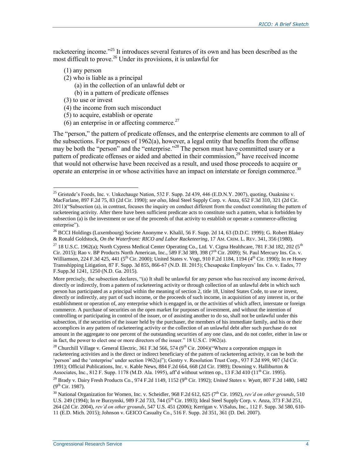racketeering income."<sup>25</sup> It introduces several features of its own and has been described as the most difficult to prove.<sup>26</sup> Under its provisions, it is unlawful for

- (1) any person
- (2) who is liable as a principal
	- (a) in the collection of an unlawful debt or
	- (b) in a pattern of predicate offenses
- (3) to use or invest

 $\overline{a}$ 

- (4) the income from such misconduct
- (5) to acquire, establish or operate
- $(6)$  an enterprise in or affecting commerce.<sup>27</sup>

The "person," the pattern of predicate offenses, and the enterprise elements are common to all of the subsections. For purposes of 1962(a), however, a legal entity that benefits from the offense may be both the "person" and the "enterprise."<sup>28</sup> The person must have committed usury or a pattern of predicate offenses or aided and abetted in their commission,<sup>29</sup> have received income that would not otherwise have been received as a result, and used those proceeds to acquire or operate an enterprise in or whose activities have an impact on interstate or foreign commerce.<sup>30</sup>

<sup>&</sup>lt;sup>25</sup> Gristede's Foods, Inc. v. Unkechauge Nation, 532 F. Supp. 2d 439, 446 (E.D.N.Y. 2007), quoting, Ouaknine v. MacFarlane, 897 F.2d 75, 83 (2d Cir. 1990); *see also*, Ideal Steel Supply Corp. v. Anza, 652 F.3d 310, 321 (2d Cir. 2011)("Subsection (a), in contrast, focuses the inquiry on conduct different from the conduct constituting the pattern of racketeering activity. After there have been sufficient predicate acts to constitute such a pattern, what is forbidden by subsection (a) is the investment or use of the proceeds of that activity to establish or operate a commerce-affecting enterprise").

<sup>&</sup>lt;sup>26</sup> BCCI Holdings (Luxembourg) Societe Anonyme v. Khalil, 56 F. Supp. 2d 14, 63 (D.D.C. 1999); G. Robert Blakey & Ronald Goldstock, *On the Waterfront: RICO and Labor Racketeering*, 17 AM. CRIM. L. REV. 341, 356 (1980).

<sup>&</sup>lt;sup>27</sup> 18 U.S.C. 1962(a); North Cypress Medical Center Operating Co., Ltd. V. Cigna Healthcare, 781 F.3d 182, 202 (5<sup>th</sup> Cir. 2015); Rao v. BP Products North American, Inc.,  $\overline{589}$  F.3d 389, 398 (7<sup>th</sup> Cir. 2009); St. Paul Mercury Ins. Co. v. Williamson, 224 F.3d 425, 441 (5<sup>th</sup> Cir. 2000); United States v. Vogt, 910 F.2d 1184, 1194 (4<sup>th</sup> Cir. 1990); In re Honey Transshipping Litigation, 87 F. Supp. 3d 855, 866-67 (N.D. Ill. 2015); Chesapeake Employers' Ins. Co. v. Eades, 77 F.Supp.3d 1241, 1250 (N.D. Ga. 2015).

More precisely, the subsection declares, "(a) It shall be unlawful for any person who has received any income derived, directly or indirectly, from a pattern of racketeering activity or through collection of an unlawful debt in which such person has participated as a principal within the meaning of section 2, title 18, United States Code, to use or invest, directly or indirectly, any part of such income, or the proceeds of such income, in acquisition of any interest in, or the establishment or operation of, any enterprise which is engaged in, or the activities of which affect, interstate or foreign commerce. A purchase of securities on the open market for purposes of investment, and without the intention of controlling or participating in control of the issuer, or of assisting another to do so, shall not be unlawful under this subsection, if the securities of the issuer held by the purchaser, the members of his immediate family, and his or their accomplices in any pattern of racketeering activity or the collection of an unlawful debt after such purchase do not amount in the aggregate to one percent of the outstanding securities of any one class, and do not confer, either in law or in fact, the power to elect one or more directors of the issuer." 18 U.S.C. 1962(a).

<sup>&</sup>lt;sup>28</sup> Churchill Village v. General Electric, 361 F.3d 566, 574 (9<sup>th</sup> Cir. 2004)("Where a corporation engages in racketeering activities and is the direct or indirect beneficiary of the pattern of racketeering activity, it can be both the 'person' and the 'enterprise' under section 1962(a)"); Gentry v. Resolution Trust Corp., 937 F.2d 899, 907 (3d Cir. 1991); Official Publications, Inc. v. Kable News, 884 F.2d 664, 668 (2d Cir. 1989); Downing v. Halliburton & Associates, Inc., 812 F. Supp. 1178 (M.D. Ala. 1995), aff'd without written op., 13 F.3d 410 (11<sup>th</sup> Cir. 1995).

<sup>29</sup> Brady v. Dairy Fresh Products Co., 974 F.2d 1149, 1152 (9th Cir. 1992); *United States v. Wyatt*, 807 F.2d 1480, 1482 (9th Cir. 1987).

<sup>&</sup>lt;sup>30</sup> National Organization for Women, Inc. v. Scheidler, 968 F.2d 612, 625 (7<sup>th</sup> Cir. 1992), *rev'd on other grounds*, 510 U.S. 249 (1994); In re Burzynski, 989 F.2d 733, 744 (5<sup>th</sup> Cir. 1993); Ideal Steel Supply Corp. v. Anza, 373 F.3d 251, 264 (2d Cir. 2004), *rev'd on other grounds*, 547 U.S. 451 (2006); Kerrigan v. ViSalus, Inc., 112 F. Supp. 3d 580, 610- 11 (E.D. Mich. 2015); Johnson v. GEICO Casualty Co., 516 F. Supp. 2d 351, 361 (D. Del. 2007).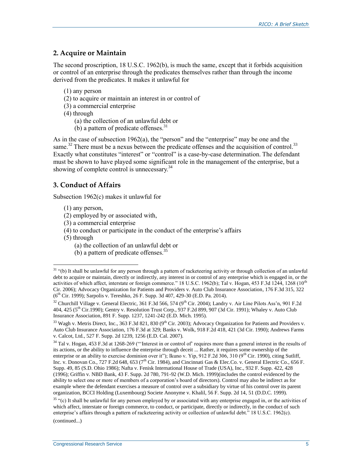## **2. Acquire or Maintain**

The second proscription, 18 U.S.C. 1962(b), is much the same, except that it forbids acquisition or control of an enterprise through the predicates themselves rather than through the income derived from the predicates. It makes it unlawful for

(1) any person

- (2) to acquire or maintain an interest in or control of
- (3) a commercial enterprise
- (4) through
	- (a) the collection of an unlawful debt or
	- (b) a pattern of predicate offenses. $31$

As in the case of subsection 1962(a), the "person" and the "enterprise" may be one and the same.<sup>32</sup> There must be a nexus between the predicate offenses and the acquisition of control.<sup>33</sup> Exactly what constitutes "interest" or "control" is a case-by-case determination. The defendant must be shown to have played some significant role in the management of the enterprise, but a showing of complete control is unnecessary.<sup>34</sup>

## **3. Conduct of Affairs**

Subsection 1962(c) makes it unlawful for

- (1) any person,
- (2) employed by or associated with,
- (3) a commercial enterprise
- (4) to conduct or participate in the conduct of the enterprise's affairs
- (5) through

 $\overline{a}$ 

- (a) the collection of an unlawful debt or
- (b) a pattern of predicate offenses.<sup>35</sup>

 $31$  "(b) It shall be unlawful for any person through a pattern of racketeering activity or through collection of an unlawful debt to acquire or maintain, directly or indirectly, any interest in or control of any enterprise which is engaged in, or the activities of which affect, interstate or foreign commerce." 18 U.S.C. 1962(b); Tal v. Hogan, 453 F.3d 1244, 1268 (10<sup>th</sup> Cir. 2006); Advocacy Organization for Patients and Providers v. Auto Club Insurance Association, 176 F.3d 315, 322 (6th Cir. 1999); Sarpolis v. Tereshko, 26 F. Supp. 3d 407, 429-30 (E.D. Pa. 2014).

 $32$  Churchill Village v. General Electric, 361 F.3d 566, 574 (9<sup>th</sup> Cir. 2004); Landry v. Air Line Pilots Ass'n, 901 F.2d 404, 425 (5th Cir.1990); Gentry v. Resolution Trust Corp., 937 F.2d 899, 907 (3d Cir. 1991); Whaley v. Auto Club Insurance Association, 891 F. Supp. 1237, 1241-242 (E.D. Mich. 1995).

<sup>&</sup>lt;sup>33</sup> Wagh v. Metris Direct, Inc., 363 F.3d 821, 830 (9<sup>th</sup> Cir. 2003); Advocacy Organization for Patients and Providers v. Auto Club Insurance Association, 176 F.3d at 329; Banks v. Wolk, 918 F.2d 418, 421 (3d Cir. 1990); Andrews Farms v. Calcot, Ltd*.*, 527 F. Supp. 2d 1239, 1256 (E.D. Cal. 2007).

<sup>&</sup>lt;sup>34</sup> Tal v. Hogan, 453 F.3d at 1268-269 ("'Interest in or control of' requires more than a general interest in the results of its actions, or the ability to influence the enterprise through deceit ... Rather, it requires some ownership of the enterprise or an ability to exercise dominion over it"); Ikuno v. Yip, 912 F.2d 306, 310 (9<sup>th</sup> Cir. 1990), citing Sutliff, Inc. v. Donovan Co., 727 F.2d 648, 653 ( $7<sup>th</sup>$  Cir. 1984), and Cincinnati Gas & Elec.Co. v. General Electric Co., 656 F. Supp. 49, 85 (S.D. Ohio 1986); Nafta v. Fenisk International House of Trade (USA), Inc., 932 F. Supp. 422, 428 (1996); Griffin v. NBD Bank, 43 F. Supp. 2d 780, 791-92 (W.D. Mich. 1999)(includes the control evidenced by the ability to select one or more of members of a corporation's board of directors). Control may also be indirect as for example where the defendant exercises a measure of control over a subsidiary by virtue of his control over its parent organization, BCCI Holding (Luxembourg) Societe Anonyme v. Khalil, 56 F. Supp. 2d 14, 51 (D.D.C. 1999).

 $35$  "(c) It shall be unlawful for any person employed by or associated with any enterprise engaged in, or the activities of which affect, interstate or foreign commerce, to conduct, or participate, directly or indirectly, in the conduct of such enterprise's affairs through a pattern of racketeering activity or collection of unlawful debt." 18 U.S.C. 1962(c). (continued...)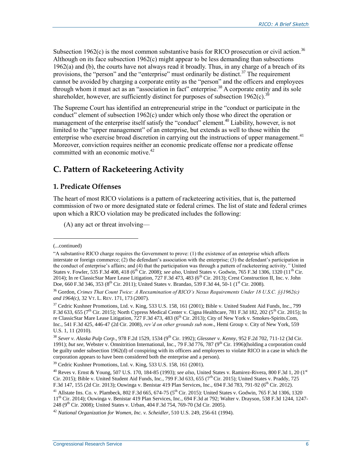Subsection 1962 $(c)$  is the most common substantive basis for RICO prosecution or civil action.<sup>36</sup> Although on its face subsection  $1962(c)$  might appear to be less demanding than subsections  $1962(a)$  and (b), the courts have not always read it broadly. Thus, in any charge of a breach of its provisions, the "person" and the "enterprise" must ordinarily be distinct. $37$  The requirement cannot be avoided by charging a corporate entity as the "person" and the officers and employees through whom it must act as an "association in fact" enterprise.<sup>38</sup> A corporate entity and its sole shareholder, however, are sufficiently distinct for purposes of subsection  $1962(c)$ .<sup>3</sup>

The Supreme Court has identified an entrepreneurial stripe in the "conduct or participate in the conduct" element of subsection 1962(c) under which only those who direct the operation or management of the enterprise itself satisfy the "conduct" element.<sup>40</sup> Liability, however, is not limited to the "upper management" of an enterprise, but extends as well to those within the enterprise who exercise broad discretion in carrying out the instructions of upper management.<sup>41</sup> Moreover, conviction requires neither an economic predicate offense nor a predicate offense committed with an economic motive.<sup>42</sup>

## **C. Pattern of Racketeering Activity**

### **1. Predicate Offenses**

The heart of most RICO violations is a pattern of racketeering activities, that is, the patterned commission of two or more designated state or federal crimes. The list of state and federal crimes upon which a RICO violation may be predicated includes the following:

(A) any act or threat involving—

l

<sup>(...</sup>continued)

<sup>&</sup>quot;A substantive RICO charge requires the Government to prove: (1) the existence of an enterprise which affects interstate or foreign commerce; (2) the defendant's association with the enterprise; (3) the defendant's participation in the conduct of enterprise's affairs; and (4) that the participation was through a pattern of racketeering activity*,"* United States v. Fowler, 535 F.3d 408, 418 (6<sup>th</sup> Cir. 2008); see also, United States v. Godwin, 765 F.3d 1306, 1320 (11<sup>th</sup> Cir. 2014); In re ClassicStar Mare Lease Litigation, 727 F.3d 473, 483 (6<sup>th</sup> Cir. 2013); Crest Construction II, Inc. v. John Doe, 660 F.3d 346, 353 (8<sup>th</sup> Cir. 2011); United States v. Brandao, 539 F.3d 44, 50-1 (1<sup>st</sup> Cir. 2008).

<sup>36</sup> Gordon, *Crimes That Count Twice: A Reexamination of RICO's Nexus Requirements Under 18 U.S.C. §§1962(c) and 1964(c)*, 32 VT. L. REV. 171, 173 (2007).

<sup>&</sup>lt;sup>37</sup> Cedric Kushner Promotions, Ltd. v. King, 533 U.S. 158, 161 (2001); Bible v. United Student Aid Funds, Inc., 799 F.3d 633, 655 (7<sup>th</sup> Cir. 2015); North Cypress Medical Center v. Cigna Healthcare, 781 F.3d 182, 202 (5<sup>th</sup> Cir. 2015); In re ClassicStar Mare Lease Litigation, 727 F.3d 473, 483 (6<sup>th</sup> Cir. 2013); City of New York v. Smokes-Spirits.Com, Inc*.*, 541 F.3d 425, 446-47 (2d Cir. 2008), *rev'd on other grounds sub nom*., Hemi Group v. City of New York, 559 U.S. 1, 11 (2010).

<sup>&</sup>lt;sup>38</sup> Sever v. Alaska Pulp Corp., 978 F.2d 1529, 1534 (9<sup>th</sup> Cir. 1992); *Glessner v. Kenny*, 952 F.2d 702, 711-12 (3d Cir. 1991); *but see*, Webster v. Omnitrition International, Inc., 79 F.3d 776, 787 (9<sup>th</sup> Cir. 1996)(holding a corporation could be guilty under subsection 1962(d) of conspiring with its officers and employees to violate RICO in a case in which the corporation appears to have been considered both the enterprise and a person).

<sup>&</sup>lt;sup>39</sup> Cedric Kushner Promotions, Ltd. v. King, 533 U.S. 158, 161 (2001).

<sup>40</sup> Reves v. Ernst & Young, 507 U.S. 170, 184-85 (1993); *see also*, United States v. Ramirez-Rivera, 800 F.3d 1, 20 (1st Cir. 2015); Bible v. United Student Aid Funds, Inc., 799 F.3d 633, 655 (7<sup>th</sup> Cir. 2015); United States v. Praddy, 725 F.3d 147, 155 (2d Cir. 2013); Ouwinga v. Benistar 419 Plan Services, Inc., 694 F.3d 783, 791-92 (6<sup>th</sup> Cir. 2012).

<sup>&</sup>lt;sup>41</sup> Allstate Ins. Co. v. Plambeck, 802 F.3d 665, 674-75 ( $5<sup>th</sup>$  Cir. 2015): United States v. Godwin, 765 F.3d 1306, 1320 11th Cir. 2014); Ouwinga v. Benistar 419 Plan Services, Inc*.,* 694 F.3d at 792; Walter v. Drayson, 538 F.3d 1244, 1247- 248 (9<sup>th</sup> Cir. 2008); United States v. Urban, 404 F.3d 754, 769-70 (3d Cir. 2005).

<sup>42</sup> *National Organization for Women, Inc. v. Scheidler*, 510 U.S. 249, 256-61 (1994).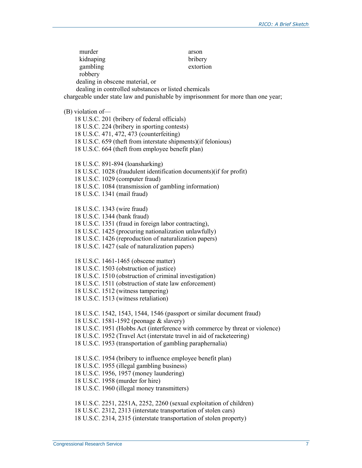murder arson kidnaping bribery gambling extortion robbery dealing in obscene material, or dealing in controlled substances or listed chemicals chargeable under state law and punishable by imprisonment for more than one year; (B) violation of— 18 U.S.C. 201 (bribery of federal officials) 18 U.S.C. 224 (bribery in sporting contests) 18 U.S.C. 471, 472, 473 (counterfeiting) 18 U.S.C. 659 (theft from interstate shipments)(if felonious) 18 U.S.C. 664 (theft from employee benefit plan) 18 U.S.C. 891-894 (loansharking) 18 U.S.C. 1028 (fraudulent identification documents)(if for profit) 18 U.S.C. 1029 (computer fraud) 18 U.S.C. 1084 (transmission of gambling information) 18 U.S.C. 1341 (mail fraud) 18 U.S.C. 1343 (wire fraud) 18 U.S.C. 1344 (bank fraud) 18 U.S.C. 1351 (fraud in foreign labor contracting), 18 U.S.C. 1425 (procuring nationalization unlawfully) 18 U.S.C. 1426 (reproduction of naturalization papers) 18 U.S.C. 1427 (sale of naturalization papers) 18 U.S.C. 1461-1465 (obscene matter) 18 U.S.C. 1503 (obstruction of justice) 18 U.S.C. 1510 (obstruction of criminal investigation) 18 U.S.C. 1511 (obstruction of state law enforcement) 18 U.S.C. 1512 (witness tampering) 18 U.S.C. 1513 (witness retaliation) 18 U.S.C. 1542, 1543, 1544, 1546 (passport or similar document fraud) 18 U.S.C. 1581-1592 (peonage & slavery) 18 U.S.C. 1951 (Hobbs Act (interference with commerce by threat or violence) 18 U.S.C. 1952 (Travel Act (interstate travel in aid of racketeering) 18 U.S.C. 1953 (transportation of gambling paraphernalia) 18 U.S.C. 1954 (bribery to influence employee benefit plan) 18 U.S.C. 1955 (illegal gambling business) 18 U.S.C. 1956, 1957 (money laundering) 18 U.S.C. 1958 (murder for hire) 18 U.S.C. 1960 (illegal money transmitters) 18 U.S.C. 2251, 2251A, 2252, 2260 (sexual exploitation of children) 18 U.S.C. 2312, 2313 (interstate transportation of stolen cars)

18 U.S.C. 2314, 2315 (interstate transportation of stolen property)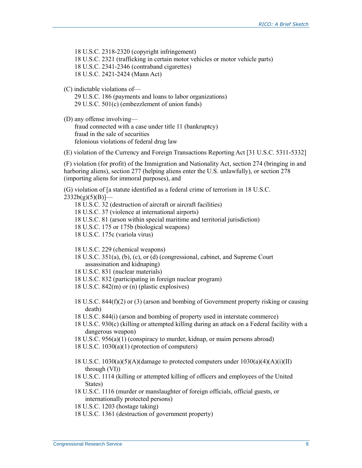18 U.S.C. 2318-2320 (copyright infringement) 18 U.S.C. 2321 (trafficking in certain motor vehicles or motor vehicle parts) 18 U.S.C. 2341-2346 (contraband cigarettes) 18 U.S.C. 2421-2424 (Mann Act) (C) indictable violations of— 29 U.S.C. 186 (payments and loans to labor organizations) 29 U.S.C. 501(c) (embezzlement of union funds) (D) any offense involving fraud connected with a case under title 11 (bankruptcy) fraud in the sale of securities felonious violations of federal drug law (E) violation of the Currency and Foreign Transactions Reporting Act [31 U.S.C. 5311-5332] (F) violation (for profit) of the Immigration and Nationality Act, section 274 (bringing in and harboring aliens), section 277 (helping aliens enter the U.S. unlawfully), or section 278 (importing aliens for immoral purposes), and (G) violation of [a statute identified as a federal crime of terrorism in 18 U.S.C.  $2332b(g)(5)(B)$ ]— 18 U.S.C. 32 (destruction of aircraft or aircraft facilities) 18 U.S.C. 37 (violence at international airports) 18 U.S.C. 81 (arson within special maritime and territorial jurisdiction) 18 U.S.C. 175 or 175b (biological weapons) 18 U.S.C. 175c (variola virus) 18 U.S.C. 229 (chemical weapons) 18 U.S.C. 351(a), (b), (c), or (d) (congressional, cabinet, and Supreme Court assassination and kidnaping) 18 U.S.C. 831 (nuclear materials) 18 U.S.C. 832 (participating in foreign nuclear program) 18 U.S.C. 842(m) or (n) (plastic explosives) 18 U.S.C. 844(f)(2) or (3) (arson and bombing of Government property risking or causing death) 18 U.S.C. 844(i) (arson and bombing of property used in interstate commerce) 18 U.S.C. 930(c) (killing or attempted killing during an attack on a Federal facility with a dangerous weapon) 18 U.S.C. 956(a)(1) (conspiracy to murder, kidnap, or maim persons abroad) 18 U.S.C. 1030(a)(1) (protection of computers) 18 U.S.C. 1030(a)(5)(A)(damage to protected computers under  $1030(a)(4)(A)(i)(II)$ through (VI)) 18 U.S.C. 1114 (killing or attempted killing of officers and employees of the United States) 18 U.S.C. 1116 (murder or manslaughter of foreign officials, official guests, or internationally protected persons) 18 U.S.C. 1203 (hostage taking) 18 U.S.C. 1361 (destruction of government property)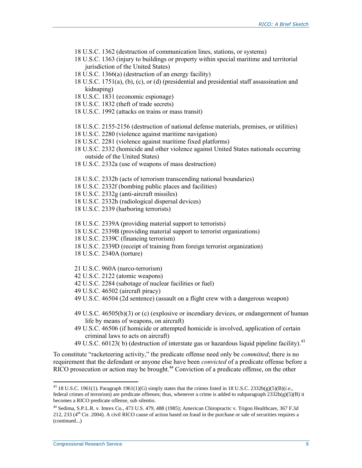- 18 U.S.C. 1362 (destruction of communication lines, stations, or systems)
- 18 U.S.C. 1363 (injury to buildings or property within special maritime and territorial jurisdiction of the United States)
- 18 U.S.C. 1366(a) (destruction of an energy facility)
- 18 U.S.C. 1751(a), (b), (c), or (d) (presidential and presidential staff assassination and kidnaping)
- 18 U.S.C. 1831 (economic espionage)
- 18 U.S.C. 1832 (theft of trade secrets)
- 18 U.S.C. 1992 (attacks on trains or mass transit)
- 18 U.S.C. 2155-2156 (destruction of national defense materials, premises, or utilities)
- 18 U.S.C. 2280 (violence against maritime navigation)
- 18 U.S.C. 2281 (violence against maritime fixed platforms)
- 18 U.S.C. 2332 (homicide and other violence against United States nationals occurring outside of the United States)
- 18 U.S.C. 2332a (use of weapons of mass destruction)
- 18 U.S.C. 2332b (acts of terrorism transcending national boundaries)
- 18 U.S.C. 2332f (bombing public places and facilities)
- 18 U.S.C. 2332g (anti-aircraft missiles)
- 18 U.S.C. 2332h (radiological dispersal devices)
- 18 U.S.C. 2339 (harboring terrorists)
- 18 U.S.C. 2339A (providing material support to terrorists)
- 18 U.S.C. 2339B (providing material support to terrorist organizations)
- 18 U.S.C. 2339C (financing terrorism)
- 18 U.S.C. 2339D (receipt of training from foreign terrorist organization)
- 18 U.S.C. 2340A (torture)
- 21 U.S.C. 960A (narco-terrorism)
- 42 U.S.C. 2122 (atomic weapons)
- 42 U.S.C. 2284 (sabotage of nuclear facilities or fuel)
- 49 U.S.C. 46502 (aircraft piracy)
- 49 U.S.C. 46504 (2d sentence) (assault on a flight crew with a dangerous weapon)
- 49 U.S.C. 46505(b)(3) or (c) (explosive or incendiary devices, or endangerment of human life by means of weapons, on aircraft)
- 49 U.S.C. 46506 (if homicide or attempted homicide is involved, application of certain criminal laws to acts on aircraft)
- 49 U.S.C. 60123(b) (destruction of interstate gas or hazardous liquid pipeline facility).<sup>43</sup>

To constitute "racketeering activity," the predicate offense need only be *committed*; there is no requirement that the defendant or anyone else have been *convicted* of a predicate offense before a RICO prosecution or action may be brought.<sup>44</sup> Conviction of a predicate offense, on the other

 $\overline{a}$ 

<sup>&</sup>lt;sup>43</sup> 18 U.S.C. 1961(1). Paragraph 1961(1)(G) simply states that the crimes listed in 18 U.S.C. 2332b(g)(5)(B)(*i.e.*, federal crimes of terrorism) are predicate offenses; thus, whenever a crime is added to subparagraph  $2332b(g)(5)(B)$  it becomes a RICO predicate offense, sub silentio.

<sup>44</sup> Sedima, S.P.L.R. v. Imrex Co., 473 U.S. 479, 488 (1985); American Chiropractic v. Trigon Healthcare, 367 F.3d 212, 233 ( $4<sup>th</sup>$  Cir. 2004). A civil RICO cause of action based on fraud in the purchase or sale of securities requires a (continued...)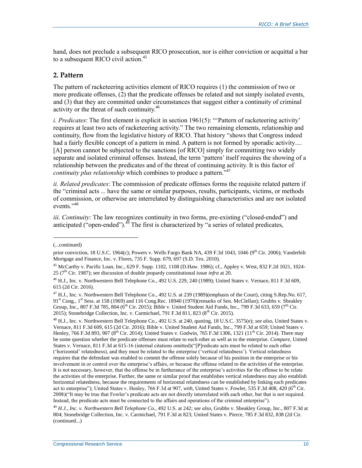hand, does not preclude a subsequent RICO prosecution, nor is either conviction or acquittal a bar to a subsequent RICO civil action.<sup>45</sup>

### **2. Pattern**

The pattern of racketeering activities element of RICO requires (1) the commission of two or more predicate offenses, (2) that the predicate offenses be related and not simply isolated events, and (3) that they are committed under circumstances that suggest either a continuity of criminal activity or the threat of such continuity.<sup>46</sup>

*i. Predicates*: The first element is explicit in section 1961(5): "'Pattern of racketeering activity' requires at least two acts of racketeering activity." The two remaining elements, relationship and continuity, flow from the legislative history of RICO. That history "shows that Congress indeed had a fairly flexible concept of a pattern in mind. A pattern is not formed by sporadic activity.... [A] person cannot be subjected to the sanctions [of RICO] simply for committing two widely separate and isolated criminal offenses. Instead, the term 'pattern' itself requires the showing of a relationship between the predicates and of the threat of continuing activity. It is this factor of *continuity plus relationship* which combines to produce a pattern."<sup>47</sup>

*ii. Related predicates*: The commission of predicate offenses forms the requisite related pattern if the "criminal acts ... have the same or similar purposes, results, participants, victims, or methods of commission, or otherwise are interrelated by distinguishing characteristics and are not isolated events<sup>"48</sup>

*iii. Continuity*: The law recognizes continuity in two forms, pre-existing ("closed-ended") and anticipated ("open-ended"). $^{45}$  The first is characterized by "a series of related predicates,

 $\overline{a}$ 

<sup>(...</sup>continued)

prior conviction, 18 U.S.C. 1964(c); Powers v. Wells Fargo Bank NA, 439 F.3d 1043, 1046 (9<sup>th</sup> Cir. 2006); Vanderbilt Mortgage and Finance, Inc. v. Flores, 735 F. Supp. 679, 697 (S.D. Tex. 2010).

<sup>45</sup> McCarthy v. Pacific Loan, Inc., 629 F. Supp. 1102, 1108 (D.Haw. 1986); cf., Appley v. West, 832 F.2d 1021, 1024- 25 (7th Cir. 1987); see discussion of double jeopardy constitutional issue *infra* at 20.

<sup>46</sup> H.J., Inc. v. Northwestern Bell Telephone Co*.*, 492 U.S. 229, 240 (1989); United States v. Vernace, 811 F.3d 609, 615 (2d Cir. 2016).

<sup>47</sup> H.J., Inc. v. Northwestern Bell Telephone Co., 492 U.S. at 239 (1989)(emphasis of the Court), citing S.Rep.No. 617,  $91<sup>st</sup> Cong.,  $1<sup>st</sup> Sess.$  at 158 (1969) and 116 Cong.Rec. 18940 (1970)(remarks of Sen. McClellan); Grubbs v. Sheakley$ Group, Inc., 807 F.3d 785, 804 (6<sup>th</sup> Cir. 2015); Bible v. United Student Aid Funds, Inc., 799 F.3d 633, 659 (7<sup>th</sup> Cir. 2015); Stonebridge Collection, Inc. v. Carmichael, 791 F.3d 811, 823 (8<sup>th</sup> Cir. 2015).

<sup>48</sup> H.J., Inc. v. Northwestern Bell Telephone Co., 492 U.S. at 240, quoting, 18 U.S.C. 3575(e); *see also*, United States v. Vernace, 811 F.3d 609, 615 (2d Cir. 2016); Bible v. United Student Aid Funds, Inc., 799 F.3d at 659; United States v. Henley, 766 F.3d 893, 907 (8<sup>th</sup> Cir. 2014); United States v. Godwin, 765 F.3d 1306, 1321 (11<sup>th</sup> Cir. 2014). There may be some question whether the predicate offenses must relate to each other as well as to the enterprise. *Compare*, United States v. Vernace, 811 F.3d at 615-16 (internal citations omitted)("[P]redicate acts must be related to each other ('horizontal' relatedness), and they must be related to the enterprise ('vertical relatedness'). Vertical relatedness requires that the defendant was enabled to commit the offense solely because of his position in the enterprise or his involvement in or control over the enterprise's affairs, or because the offense related to the activities of the enterprise. It is not necessary, however, that the offense be in furtherance of the enterprise's activities for the offense to be relate the activities of the enterprise. Further, the same or similar proof that establishes vertical relatedness may also establish horizontal relatedness, because the requirements of horizontal relatedness can be established by linking each predicates act to enterprise"); United States v. Henley, 766 F.3d at 907, *with*, United States v. Fowler, 535 F.3d 408, 420 (6<sup>th</sup> Cir. 2008)("It may be true that Fowler's predicate acts are not directly interrelated with each other, but that is not required. Instead, the predicate acts must be connected to the affairs and operations of the criminal enterprise").

<sup>49</sup> *H.J., Inc. v. Northwestern Bell Telephone Co.*, 492 U.S. at 242; *see also*, Grubbs v. Sheakley Group, Inc., 807 F.3d at 804; Stonebridge Collection, Inc. v. Carmichael, 791 F.3d at 823; United States v. Pierce, 785 F.3d 832, 838 (2d Cir. (continued...)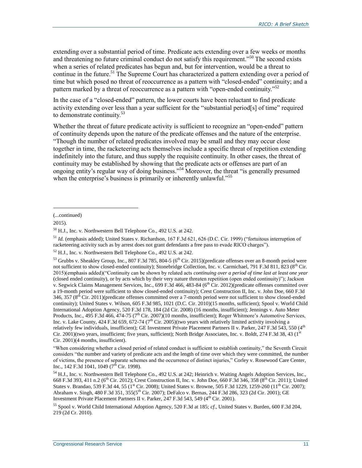extending over a substantial period of time. Predicate acts extending over a few weeks or months and threatening no future criminal conduct do not satisfy this requirement."<sup>50</sup> The second exists when a series of related predicates has begun and, but for intervention, would be a threat to continue in the future.<sup>51</sup> The Supreme Court has characterized a pattern extending over a period of time but which posed no threat of reoccurrence as a pattern with "closed-ended" continuity; and a pattern marked by a threat of reoccurrence as a pattern with "open-ended continuity."<sup>52</sup>

In the case of a "closed-ended" pattern, the lower courts have been reluctant to find predicate activity extending over less than a year sufficient for the "substantial period[s] of time" required to demonstrate continuity. $53$ 

Whether the threat of future predicate activity is sufficient to recognize an "open-ended" pattern of continuity depends upon the nature of the predicate offenses and the nature of the enterprise. "Though the number of related predicates involved may be small and they may occur close together in time, the racketeering acts themselves include a specific threat of repetition extending indefinitely into the future, and thus supply the requisite continuity. In other cases, the threat of continuity may be established by showing that the predicate acts or offenses are part of an ongoing entity's regular way of doing business."<sup>54</sup> Moreover, the threat "is generally presumed when the enterprise's business is primarily or inherently unlawful."<sup>55</sup>

l

<sup>51</sup> *Id.* (emphasis added); United States v. Richardson, 167 F.3d 621, 626 (D.C. Cir. 1999) ("fortuitous interruption of racketeering activity such as by arrest does not grant defendants a free pass to evade RICO charges").

"When considering whether a closed period of related conduct is sufficient to establish continuity," the Seventh Circuit considers "the number and variety of predicate acts and the length of time over which they were committed, the number of victims, the presence of separate schemes and the occurrence of distinct injuries," Corley v. Rosewood Care Center, Inc., 142 F.3d 1041, 1049 ( $7^{th}$  Cir. 1998).

<sup>54</sup> H.J., Inc. v. Northwestern Bell Telephone Co., 492 U.S. at 242; Heinrich v. Waiting Angels Adoption Services, Inc., 668 F.3d 393, 411 n.2 (6<sup>th</sup> Cir. 2012); Crest Construction II, Inc. v. John Doe, 660 F.3d 346, 358 (8<sup>th</sup> Cir. 2011); United States v. Brandao, 539 F.3d 44, 55 ( $1^{\text{st}}$  Cir. 2008); United States v. Browne, 505 F.3d 1229, 1259-260 ( $11^{\text{th}}$  Cir. 2007); Abraham v. Singh, 480 F.3d 351, 355(5<sup>th</sup> Cir. 2007); DeFalco v. Bernas, 244 F.3d 286, 323 (2d Cir. 2001); GE Investment Private Placement Partners II v. Parker, 247 F.3d 543, 549 (4<sup>th</sup> Cir. 2001).

<sup>(...</sup>continued)

<sup>2015).</sup>

<sup>50</sup> H.J., Inc. v. Northwestern Bell Telephone Co*.*, 492 U.S. at 242.

<sup>52</sup> H.J., Inc. v. Northwestern Bell Telephone Co*.*, 492 U.S. at 242.

<sup>&</sup>lt;sup>53</sup> Grubbs v. Sheakley Group, Inc., 807 F.3d 785, 804-5 (6<sup>th</sup> Cir. 2015)(predicate offenses over an 8-month period were not sufficient to show closed-ended continuity); Stonebridge Collection, Inc. v. Carmichael, 791 F.3d 811, 823 ( $8<sup>th</sup>$  Cir. 2015)(emphasis added)("Continuity can be shown by related acts *continuing over a period of time last at least one year* (closed ended continuity), or by acts which by their very nature threaten repetition (open ended continuity)"); Jackson v. Segwick Claims Management Services, Inc., 699 F.3d 466, 483-84 (6<sup>th</sup> Cir. 2012)(predicate offenses committed over a 19-month period were sufficient to show closed-ended continuity); Crest Construction II, Inc. v. John Doe, 660 F.3d  $346, 357 (8<sup>th</sup>)$  Cir. 2011)(predicate offenses committed over a 7-month period were not sufficient to show closed-ended continuity); United States v. Wilson, 605 F.3d 985, 1021 (D.C. Cir. 2010)(15 months, sufficient); Spool v. World Child International Adoption Agency, 520 F.3d 178, 184 (2d Cir. 2008) (16 months, insufficient); Jennings v. Auto Meter Products, Inc.,  $495$  F.3d  $466$ ,  $474-75$  ( $7<sup>th</sup>$  Cir. 2007)(10 months, insufficient); Roger Whitmore's Automotive Services, Inc. v. Lake County, 424 F.3d 659, 672-74 ( $7<sup>th</sup>$  Cir. 2005)(two years with relatively limited activity involving a relatively few individuals, insufficient); GE Investment Private Placement Partners II v. Parker, 247 F.3d 543, 550 (4<sup>th</sup> Cir. 2001)(two years, insufficient; five years, sufficient); North Bridge Associates, Inc. v. Boldt, 274 F.3d 38, 43 ( $1<sup>st</sup>$ Cir. 2001)(4 months, insufficient).

<sup>55</sup> Spool v. World Child International Adoption Agency, 520 F.3d at 185; *cf.,* United States v. Burden, 600 F.3d 204, 219 (2d Cr. 2010).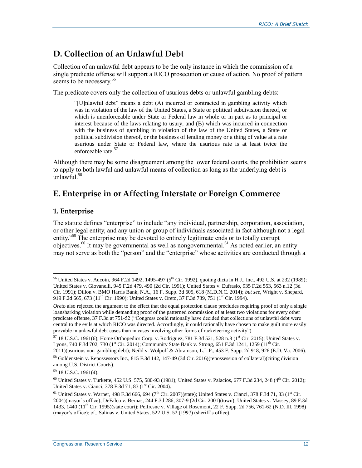## **D. Collection of an Unlawful Debt**

Collection of an unlawful debt appears to be the only instance in which the commission of a single predicate offense will support a RICO prosecution or cause of action. No proof of pattern seems to be necessary.<sup>56</sup>

The predicate covers only the collection of usurious debts or unlawful gambling debts:

"[U]nlawful debt" means a debt (A) incurred or contracted in gambling activity which was in violation of the law of the United States, a State or political subdivision thereof, or which is unenforceable under State or Federal law in whole or in part as to principal or interest because of the laws relating to usury, and (B) which was incurred in connection with the business of gambling in violation of the law of the United States, a State or political subdivision thereof, or the business of lending money or a thing of value at a rate usurious under State or Federal law, where the usurious rate is at least twice the enforceable rate.<sup>57</sup>

Although there may be some disagreement among the lower federal courts, the prohibition seems to apply to both lawful and unlawful means of collection as long as the underlying debt is unlawful. $58$ 

## **E. Enterprise in or Affecting Interstate or Foreign Commerce**

## **1. Enterprise**

 $\overline{a}$ 

The statute defines "enterprise" to include "any individual, partnership, corporation, association, or other legal entity, and any union or group of individuals associated in fact although not a legal entity."<sup>59</sup> The enterprise may be devoted to entirely legitimate ends or to totally corrupt objectives.<sup>60</sup> It may be governmental as well as nongovernmental.<sup>61</sup> As noted earlier, an entity may not serve as both the "person" and the "enterprise" whose activities are conducted through a

<sup>&</sup>lt;sup>56</sup> United States v. Aucoin, 964 F.2d 1492, 1495-497 (5<sup>th</sup> Cir. 1992), quoting dicta in H.J., Inc., 492 U.S. at 232 (1989); United States v. Giovanelli, 945 F.2d 479, 490 (2d Cir. 1991); United States v. Eufrasio, 935 F.2d 553, 563 n.12 (3d Cir. 1991); Dillon v. BMO Harris Bank, N.A., 16 F. Supp. 3d 605, 618 (M.D.N.C. 2014); *but see*, Wright v. Shepard, 919 F.2d 665, 673 (11<sup>th</sup> Cir. 1990); United States v. Oreto, 37 F.3d 739, 751 (1<sup>st</sup> Cir. 1994).

*Oreto* also rejected the argument to the effect that the equal protection clause precludes requiring proof of only a single loansharking violation while demanding proof of the patterned commission of at least two violations for every other predicate offense, 37 F.3d at 751-52 ("Congress could rationally have decided that collections of unlawful debt were central to the evils at which RICO was directed. Accordingly, it could rationally have chosen to make guilt more easily provable in unlawful debt cases than in cases involving other forms of racketeering activity").

 $57$  18 U.S.C. 1961(6); Home Orthopedics Corp. v. Rodriguez, 781 F.3d 521, 528 n.8 ( $1<sup>st</sup>$  Cir. 2015); United States v. Lyons, 740 F.3d 702, 730 (1<sup>st</sup> Cir. 2014); Community State Bank v. Strong, 651 F.3d 1241, 1259 (11<sup>th</sup> Cir.

<sup>2011)(</sup>usurious non-gambling debt); Neild v. Wolpoff & Abramson, L.L.P., 453 F. Supp. 2d 918, 926 (E.D. Va. 2006). <sup>58</sup> Goldenstein v. Repossessors Inc., 815 F.3d 142, 147-49 (3d Cir. 2016)(repossession of collateral)(citing division

among U.S. District Courts).

<sup>59</sup> 18 U.S.C. 1961(4).

 $^{60}$  United States v. Turkette, 452 U.S. 575, 580-93 (1981); United States v. Palacios, 677 F.3d 234, 248 (4<sup>th</sup> Cir. 2012); United States v. Cianci, 378 F.3d 71, 83  $(1^{\text{st}}$  Cir. 2004).

<sup>&</sup>lt;sup>61</sup> United States v. Warner, 498 F.3d 666, 694 (7<sup>th</sup> Cir. 2007)(state); United States v. Cianci, 378 F.3d 71, 83 (1<sup>st</sup> Cir. 2004)(mayor's office); DeFalco v. Bernas, 244 F.3d 286, 307-9 (2d Cir. 2001)(town); United States v. Massey, 89 F.3d 1433, 1440 (11th Cir. 1995)(state court); Pelfresne v. Village of Rosemont, 22 F. Supp. 2d 756, 761-62 (N.D. Ill. 1998) (mayor's office); cf., Salinas v. United States, 522 U.S. 52 (1997) (sheriff's office).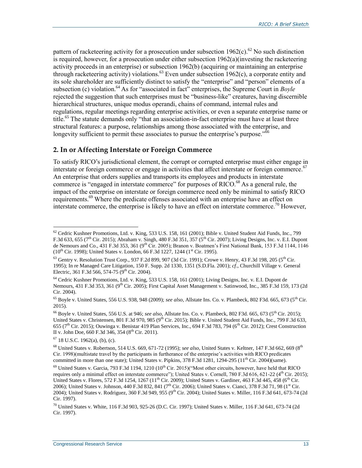pattern of racketeering activity for a prosecution under subsection  $1962(c)$ .<sup>62</sup> No such distinction is required, however, for a prosecution under either subsection  $1962(a)$  investing the racketeering activity proceeds in an enterprise) or subsection 1962(b) (acquiring or maintaining an enterprise through racketeering activity) violations.<sup>63</sup> Even under subsection 1962(c), a corporate entity and its sole shareholder are sufficiently distinct to satisfy the "enterprise" and "person" elements of a subsection (c) violation.<sup>64</sup> As for "associated in fact" enterprises, the Supreme Court in *Boyle* rejected the suggestion that such enterprises must be "business-like" creatures, having discernible hierarchical structures, unique modus operandi, chains of command, internal rules and regulations, regular meetings regarding enterprise activities, or even a separate enterprise name or title.<sup>65</sup> The statute demands only "that an association-in-fact enterprise must have at least three structural features: a purpose, relationships among those associated with the enterprise, and longevity sufficient to permit these associates to pursue the enterprise's purpose."<sup>66</sup>

### **2. In or Affecting Interstate or Foreign Commerce**

To satisfy RICO's jurisdictional element, the corrupt or corrupted enterprise must either engage in interstate or foreign commerce or engage in activities that affect interstate or foreign commerce.<sup>67</sup> An enterprise that orders supplies and transports its employees and products in interstate commerce is "engaged in interstate commerce" for purposes of  $RICO.<sup>68</sup> As a general rule, the$ impact of the enterprise on interstate or foreign commerce need only be minimal to satisfy RICO requirements.<sup>69</sup> Where the predicate offenses associated with an enterprise have an effect on interstate commerce, the enterprise is likely to have an effect on interstate commerce.<sup>70</sup> However,

 $\overline{a}$ 

 $62$  Cedric Kushner Promotions, Ltd. v. King, 533 U.S. 158, 161 (2001); Bible v. United Student Aid Funds, Inc., 799 F.3d 633, 655 (7<sup>th</sup> Cir. 2015); Abraham v. Singh, 480 F.3d 351, 357 (5<sup>th</sup> Cir. 2007); Living Designs, Inc. v. E.I. Dupont de Nemours and Co., 431 F.3d 353, 361 (9<sup>th</sup> Cir. 2005); Branon v. Boatmen's First National Bank, 153 F.3d 1144, 1146  $(10^{th}$  Cir. 1998); United States v. London, 66 F.3d 1227, 1244 (1<sup>st</sup> Cir. 1995).

<sup>&</sup>lt;sup>63</sup> Gentry v. Resolution Trust Corp., 937 F.2d 899, 907 (3d Cir. 1991); Crowe v. Henry, 43 F.3d 198, 205 (5<sup>th</sup> Cir. 1995); In re Managed Care Litigation, 150 F. Supp. 2d 1330, 1351 (S.D.Fla. 2001); *cf*., Churchill Village v. General Electric, 361 F.3d 566, 574-75 ( $9<sup>th</sup>$  Cir. 2004).

<sup>64</sup> Cedric Kushner Promotions, Ltd. v. King, 533 U.S. 158, 161 (2001); Living Designs, Inc. v. E.I. Dupont de Nemours, 431 F.3d 353, 361 (9<sup>th</sup> Cir. 2005); First Capital Asset Management v. Satinwood, Inc., 385 F.3d 159, 173 (2d Cir. 2004).

 $^{65}$  Boyle v. United States, 556 U.S. 938, 948 (2009); *see also*, Allstate Ins. Co. v. Plambeck, 802 F3d. 665, 673 (5<sup>th</sup> Cir. 2015).

<sup>66</sup> Boyle v. United States, 556 U.S. at 946; *see also*, Allstate Ins. Co. v. Plambeck, 802 F3d. 665, 673 (5th Cir. 2015); United States v. Christensen,  $801$  F.3d  $970$ ,  $985$   $(9<sup>th</sup>$  Cir. 2015); Bible v. United Student Aid Funds, Inc., 799 F.3d 633, 655 ( $7<sup>th</sup>$  Cir. 2015); Ouwinga v. Benistar 419 Plan Services, Inc., 694 F.3d 783, 794 ( $6<sup>th</sup>$  Cir. 2012); Crest Construction II v. John Doe, 660 F.3d 346, 354 ( $8^{th}$  Cir. 2011).

 $67$  18 U.S.C. 1962(a), (b), (c).

<sup>68</sup> United States v. Robertson, 514 U.S. 669, 671-72 (1995); *see also,* United States v. Keltner, 147 F.3d 662, 669 (8th Cir. 1998)(multistate travel by the participants in furtherance of the enterprise's activities with RICO predicates committed in more than one state); United States v. Pipkins,  $378$  F.3d  $1281$ ,  $1294-295$  ( $11<sup>th</sup>$  Cir. 2004)(same).

 $^{69}$  United States v. Garcia, 793 F.3d 1194, 1210 (10<sup>th</sup> Cir. 2015)("Most other circuits, however, have held that RICO requires only a minimal effect on interstate commerce"); United States v. Cornell, 780 F.3d 616, 621-22 (4<sup>th</sup> Cir. 2015); United States v. Flores, 572 F.3d 1254, 1267 (11<sup>th</sup> Cir. 2009); United States v. Gardiner, 463 F.3d 445, 458 (6<sup>th</sup> Cir. 2006); United States v. Johnson, 440 F.3d 832, 841 (7<sup>th</sup> Cir. 2006); United States v. Cianci, 378 F.3d 71, 98 (1<sup>st</sup> Cir. 2004); United States v. Rodriguez, 360 F.3d 949, 955 (9th Cir. 2004); United States v. Miller, 116 F.3d 641, 673-74 (2d Cir. 1997).

<sup>70</sup> United States v. White, 116 F.3d 903, 925-26 (D.C. Cir. 1997); United States v. Miller, 116 F.3d 641, 673-74 (2d Cir. 1997).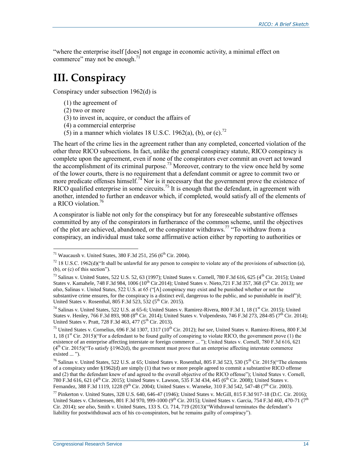"where the enterprise itself [does] not engage in economic activity, a minimal effect on commerce" may not be enough. $71$ 

# **III. Conspiracy**

Conspiracy under subsection 1962(d) is

- (1) the agreement of
- (2) two or more

 $\overline{a}$ 

- (3) to invest in, acquire, or conduct the affairs of
- (4) a commercial enterprise
- (5) in a manner which violates 18 U.S.C. 1962(a), (b), or (c).<sup>72</sup>

The heart of the crime lies in the agreement rather than any completed, concerted violation of the other three RICO subsections. In fact, unlike the general conspiracy statute, RICO conspiracy is complete upon the agreement, even if none of the conspirators ever commit an overt act toward the accomplishment of its criminal purpose.<sup>73</sup> Moreover, contrary to the view once held by some of the lower courts, there is no requirement that a defendant commit or agree to commit two or more predicate offenses himself.<sup>74</sup> Nor is it necessary that the government prove the existence of RICO qualified enterprise in some circuits.<sup>75</sup> It is enough that the defendant, in agreement with another, intended to further an endeavor which, if completed, would satisfy all of the elements of a RICO violation.<sup>76</sup>

A conspirator is liable not only for the conspiracy but for any foreseeable substantive offenses committed by any of the conspirators in furtherance of the common scheme, until the objectives of the plot are achieved, abandoned, or the conspirator withdraws.<sup>77</sup> "To withdraw from a conspiracy, an individual must take some affirmative action either by reporting to authorities or

<sup>&</sup>lt;sup>71</sup> Waucaush v. United States, 380 F.3d 251, 256 (6<sup>th</sup> Cir. 2004).

 $72$  18 U.S.C. 1962(d)("It shall be unlawful for any person to conspire to violate any of the provisions of subsection (a), (b), or (c) of this section").

 $^{73}$  Salinas v. United States, 522 U.S. 52, 63 (1997); United States v. Cornell, 780 F.3d 616, 625 (4<sup>th</sup> Cir. 2015); United States v. Kamahele, 748 F.3d 984, 1006 (10<sup>th</sup> Cir.2014); United States v. Nieto, 721 F.3d 357, 368 (5<sup>th</sup> Cir. 2013); see *also*, Salinas v. United States, 522 U.S. at 65 ("[A] conspiracy may exist and be punished whether or not the substantive crime ensures, for the conspiracy is a distinct evil, dangerous to the public, and so punishable in itself")l; United States v. Rosenthal, 805 F.3d 523, 532 (5<sup>th</sup> Cir. 2015).

<sup>&</sup>lt;sup>74</sup> Salinas v. United States, 522 U.S. at 65-6; United States v. Ramirez-Rivera, 800 F.3d 1, 18 (1<sup>st</sup> Cir. 2015); United States v. Henley, 766 F.3d 893, 908 (8<sup>th</sup> Cir. 2014); United States v. Volpendesto, 746 F.3d 273, 284-85 (7<sup>th</sup> Cir. 2014); United States v. Pratt, 728 F.3d 463, 477 (5<sup>th</sup> Cir. 2013).

<sup>&</sup>lt;sup>75</sup> United States v. Cornelius, 696 F.3d 1307, 1317 (10<sup>th</sup> Cir. 2012); *but see*, United States v. Ramirez-Rivera, 800 F.3d 1, 18 ( $1^{\text{st}}$  Cir. 2015)("For a defendant to be found guilty of conspiring to violate RICO, the government prove (1) the existence of an enterprise affecting interstate or foreign commerce ... "); United States v. Cornell, 780 F.3d 616, 621  $(4<sup>th</sup> Cir. 2015)'$  ("To satisfy §1962(d), the government must prove that an enterprise affecting interstate commerce existed ... ").

<sup>&</sup>lt;sup>76</sup> Salinas v. United States, 522 U.S. at 65; United States v. Rosenthal, 805 F.3d 523, 530 (5<sup>th</sup> Cir. 2015)("The elements of a conspiracy under §1962(d) are simply (1) that two or more people agreed to commit a substantive RICO offense and (2) that the defendant knew of and agreed to the overall objective of the RICO offense"); United States v. Cornell, 780 F.3d 616, 621 (4<sup>th</sup> Cir. 2015); United States v. Lawson, 535 F.3d 434, 445 (6<sup>th</sup> Cir. 2008); United States v. Fernandez, 388 F.3d 1119, 1228 (9<sup>th</sup> Cir. 2004); United States v. Warneke, 310 F.3d 542, 547-48 (7<sup>th</sup> Cir. 2003).

<sup>77</sup> Pinkerton v. United States, 328 U.S. 640, 646-47 (1946); United States v. McGill, 815 F.3d 917-18 (D.C. Cir. 2016); United States v. Christensen, 801 F.3d 970, 999-1000 (9<sup>th</sup> Cir. 2015); United States v. Garcia, 754 F.3d 460, 470-71 (7<sup>th</sup>) Cir. 2014); *see also*, Smith v. United States, 133 S. Ct. 714, 719 (2013)("Withdrawal terminates the defendant's liability for postwithdrawal acts of his co-conspirators, but he remains guilty of conspiracy").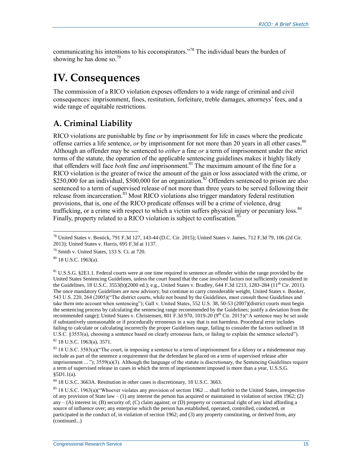communicating his intentions to his coconspirators."<sup>78</sup> The individual bears the burden of showing he has done so.<sup>79</sup>

# **IV. Consequences**

The commission of a RICO violation exposes offenders to a wide range of criminal and civil consequences: imprisonment, fines, restitution, forfeiture, treble damages, attorneys' fees, and a wide range of equitable restrictions.

## **A. Criminal Liability**

RICO violations are punishable by fine *or* by imprisonment for life in cases where the predicate offense carries a life sentence, *or* by imprisonment for not more than 20 years in all other cases.<sup>80</sup> Although an offender may be sentenced to *either* a fine *or* a term of imprisonment under the strict terms of the statute, the operation of the applicable sentencing guidelines makes it highly likely that offenders will face *both* fine *and* imprisonment.<sup>81</sup> The maximum amount of the fine for a RICO violation is the greater of twice the amount of the gain or loss associated with the crime, or \$250,000 for an individual, \$500,000 for an organization.<sup>82</sup> Offenders sentenced to prison are also sentenced to a term of supervised release of not more than three years to be served following their release from incarceration.<sup>83</sup> Most RICO violations also trigger mandatory federal restitution provisions, that is, one of the RICO predicate offenses will be a crime of violence, drug trafficking, or a crime with respect to which a victim suffers physical injury or pecuniary loss.<sup>84</sup> Finally, property related to a RICO violation is subject to confiscation.<sup>8</sup>

 $\overline{a}$ 

<sup>81</sup> U.S.S.G. §2E1.1. Federal courts were at one time required to sentence an offender within the range provided by the United States Sentencing Guidelines, unless the court found that the case involved factors not sufficiently considered in the Guidelines, 18 U.S.C. 3553(b)(2000 ed.); e.g., United States v. Bradley, 644 F.3d 1213, 1283-284 (11<sup>th</sup> Cir. 2011). The once mandatory Guidelines are now advisory, but continue to carry considerable weight, United States v. Booker, 543 U.S. 220, 264 (2005)("The district courts, while not bound by the Guidelines, must consult those Guidelines and take them into account when sentencing"); Gall v. United States, 552 U.S. 38, 50-53 (2007)(district courts must begin the sentencing process by calculating the sentencing range recommended by the Guidelines; justify a deviation from the recommended range); United States v. Christensen, 801 F.3d 970, 1019-20 (9<sup>th</sup> Cir. 2015)("A sentence may be set aside if substantively unreasonable or if procedurally erroneous in a way that is not harmless. Procedural error includes failing to calculate or calculating incorrectly the proper Guidelines range, failing to consider the factors outlined in 18 U.S.C. §3553(a), choosing a sentence based on clearly erroneous facts, or failing to explain the sentence selected"). <sup>82</sup> 18 U.S.C. 1963(a), 3571.

 $83$  18 U.S.C. 3583(a)("The court, in imposing a sentence to a term of imprisonment for a felony or a misdemeanor may include as part of the sentence a requirement that the defendant be placed on a term of supervised release after imprisonment ... "); 3559(a)(3). Although the language of the statute is discretionary, the Sentencing Guidelines require a term of supervised release in cases in which the term of imprisonment imposed is more than a year, U.S.S.G. §5D1.1(a).

<sup>84</sup> 18 U.S.C. 3663A. Restitution in other cases is discretionary, 18 U.S.C. 3663.

<sup>78</sup> United States v. Bostick, 791 F.3d 127, 143-44 (D.C. Cir. 2015); United States v. James, 712 F.3d 79, 106 (2d Cir. 2013); United States v. Harris, 695 F.3d at 1137.

 $79$  Smith v. United States, 133 S. Ct. at 720.

 $80$  18 U.S.C. 1963(a).

 $85$  18 U.S.C. 1963(a)("Whoever violates any provision of section 1962 ... shall forfeit to the United States, irrespective of any provision of State law – (1) any interest the person has acquired or maintained in violation of section 1962; (2) any  $-(A)$  interest in; (B) security of; (C) claim against; or (D) property or contractual right of any kind affording a source of influence over; any enterprise which the person has established, operated, controlled, conducted, or participated in the conduct of, in violation of section 1962; and (3) any property constituting, or derived from, any (continued...)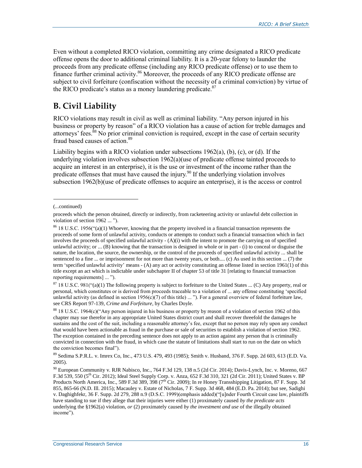Even without a completed RICO violation, committing any crime designated a RICO predicate offense opens the door to additional criminal liability. It is a 20-year felony to launder the proceeds from any predicate offense (including any RICO predicate offense) or to use them to finance further criminal activity.<sup>86</sup> Moreover, the proceeds of any RICO predicate offense are subject to civil forfeiture (confiscation without the necessity of a criminal conviction) by virtue of the RICO predicate's status as a money laundering predicate.<sup>87</sup>

## **B. Civil Liability**

RICO violations may result in civil as well as criminal liability. "Any person injured in his business or property by reason" of a RICO violation has a cause of action for treble damages and attorneys' fees.<sup>88</sup> No prior criminal conviction is required, except in the case of certain security fraud based causes of action. 89

Liability begins with a RICO violation under subsections  $1962(a)$ , (b), (c), or (d). If the underlying violation involves subsection 1962(a)(use of predicate offense tainted proceeds to acquire an interest in an enterprise), it is the use or investment of the income rather than the predicate offenses that must have caused the injury.<sup>90</sup> If the underlying violation involves subsection 1962(b)(use of predicate offenses to acquire an enterprise), it is the access or control

l

<sup>87</sup> 18 U.S.C. 981("(a)(1) The following property is subject to forfeiture to the United States ... (C) Any property, real or personal, which constitutes or is derived from proceeds traceable to a violation of ... any offense constituting 'specified unlawful activity (as defined in section 1956(c)(7) of this title) ... "). For a general overview of federal forfeiture law, see CRS Report 97-139, *Crime and Forfeiture*, by Charles Doyle.

88 18 U.S.C. 1964(c)("Any person injured in his business or property by reason of a violation of section 1962 of this chapter may sue therefor in any appropriate United States district court and shall recover threefold the damages he sustains and the cost of the suit, including a reasonable attorney's fee, except that no person may rely upon any conduct that would have been actionable as fraud in the purchase or sale of securities to establish a violation of section 1962. The exception contained in the preceding sentence does not apply to an action against any person that is criminally convicted in connection with the fraud, in which case the statute of limitations shall start to run on the date on which the conviction becomes final").

<sup>89</sup> Sedima S.P.R.L. v. Imrex Co, Inc., 473 U.S. 479, 493 (1985); Smith v. Husband, 376 F. Supp. 2d 603, 613 (E.D. Va. 2005).

<sup>(...</sup>continued)

proceeds which the person obtained, directly or indirectly, from racketeering activity or unlawful debt collection in violation of section 1962 ... ").

<sup>86</sup> 18 U.S.C. 1956("(a)(1) Whoever, knowing that the property involved in a financial transaction represents the proceeds of some form of unlawful activity, conducts or attempts to conduct such a financial transaction which in fact involves the proceeds of specified unlawful activity  $-(A)(i)$  with the intent to promote the carrying on of specified unlawful activity; or ...  $(B)$  knowing that the transaction is designed in whole or in part - (i) to conceal or disguise the nature, the location, the source, the ownership, or the control of the proceeds of specified unlawful activity ... shall be sentenced to a fine ... or imprisonment for not more than twenty years, or both.... (c) As used in this section ... (7) the term 'specified unlawful activity' means - (A) any act or activity constituting an offense listed in section 1961(1) of this title except an act which is indictable under subchapter II of chapter 53 of title 31 [relating to financial transaction reporting requirements] ... ").

 $90$  European Community v. RJR Nabisco, Inc., 764 F.3d 129, 138 n.5 (2d Cir. 2014); Davis-Lynch, Inc. v. Moreno, 667 F.3d 539, 550 ( $5<sup>th</sup>$  Cir. 2012); Ideal Steel Supply Corp. v. Anza, 652 F.3d 310, 321 (2d Cir. 2011); United States v. BP Products North America, Inc., 589 F.3d 389, 398 (7<sup>th</sup> Cir. 2009); In re Honey Transshipping Litigation, 87 F. Supp. 3d 855, 865-66 (N.D. Ill. 2015); Macauley v. Estate of Nicholas, 7 F. Supp. 3d 468, 484 (E.D. Pa. 2014); but see, Sadighi v. Daghighfekr, 36 F. Supp. 2d 279, 288 n.9 (D.S.C. 1999)(emphasis added)("[u]nder Fourth Circuit case law, plaintiffs have standing to sue if they allege that their injuries were either (1) proximately caused *by the predicate acts* underlying the §1962(a) violation, *or* (2) proximately caused *by the investment and use* of the illegally obtained income").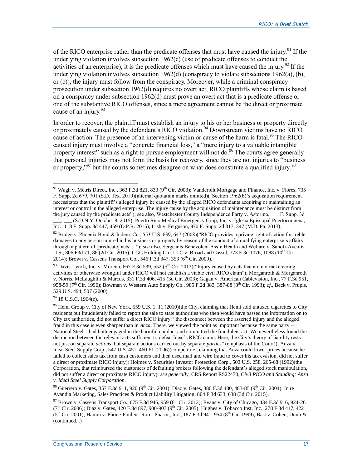of the RICO enterprise rather than the predicate offenses that must have caused the injury.<sup>91</sup> If the underlying violation involves subsection 1962(c) (use of predicate offenses to conduct the activities of an enterprise), it is the predicate offenses which must have caused the injury.<sup>92</sup> If the underlying violation involves subsection 1962(d) (conspiracy to violate subsections 1962(a), (b), or (c)), the injury must follow from the conspiracy. Moreover, while a criminal conspiracy prosecution under subsection 1962(d) requires no overt act, RICO plaintiffs whose claim is based on a conspiracy under subsection 1962(d) must prove an overt act that is a predicate offense or one of the substantive RICO offenses, since a mere agreement cannot be the direct or proximate cause of an injury.<sup>93</sup>

In order to recover, the plaintiff must establish an injury to his or her business or property directly or proximately caused by the defendant's RICO violation.<sup>94</sup> Downstream victims have no RICO cause of action. The presence of an intervening victim or cause of the harm is fatal.<sup>95</sup> The RICOcaused injury must involve a "concrete financial loss," a "mere injury to a valuable intangible property interest" such as a right to pursue employment will not do.<sup>96</sup> The courts agree generally that personal injuries may not form the basis for recovery, since they are not injuries to "business or property,"<sup>97</sup> but the courts sometimes disagree on what does constitute a qualified injury.<sup>98</sup>

<sup>94</sup> 18 U.S.C. 1964(c).

 $\overline{a}$ 

<sup>96</sup> Guerrero v. Gates, 357 F.3d 911, 920 (9<sup>th</sup> Cir. 2004); Diaz v. Gates, 380 F.3d 480, 483-85 (9<sup>th</sup> Cir. 2004); In re Avandia Marketing, Sales Practices & Product Liability Litigation, 804 F.3d 633, 638 (3d Cir. 2015).

<sup>&</sup>lt;sup>91</sup> Wagh v. Metris Direct, Inc., 363 F.3d 821, 830 (9<sup>th</sup> Cir. 2003); Vanderbilt Mortgage and Finance, Inc. v. Flores, 735 F. Supp. 2d 679, 701 (S.D. Tex. 2010)(internal quotation marks omitted)("Section 1962(b)'s acquisition requirement necessitates that the plaintiff's alleged injury be caused by the alleged RICO defendants acquiring or maintaining an interest or control in the alleged enterprise. The injury cause by the acquisition of maintenance must be distinct from the jury caused by the predicate acts"); see also, Westchester County Independence Party v. Astorino, F. Supp. 3d

\_\_\_, \_\_\_ (S.D.N.Y. October 8, 2015); Puerto Rico Medical Emergency Grup, Inc. v. Iglesia Episcopal Puertorriquena, Inc., 118 F. Supp. 3d 447, 459 (D.P.R. 2015); Irish v. Ferguson, 970 F. Supp. 2d 317, 347 (M.D. Pa. 2013).

<sup>&</sup>lt;sup>92</sup> Bridge v. Phoenix Bond & Indem. Co., 553 U.S. 639, 647 (2008)("RICO provides a private right of action for treble damages to any person injured in his business or property by reason of the conduct of a qualifying enterprise's affairs through a pattern of [predicate] acts ... "); *see also*, Sergeants Benevolent Ass'n Health and Welfare v. Sanofi-Aventis U.S., 806 F3d 71, 86 (2d Cir. 2015); CGC Holding Co., LLC v. Broad and Cassel, 773 F.3d 1076, 1088 ( $10^{th}$  Cir. 2014); Brown v. Cassens Transport Co., 546 F.3d 347, 353 (6<sup>th</sup> Cir. 2009).

<sup>&</sup>lt;sup>93</sup> Davis-Lynch, Inc. v. Moreno, 667 F.3d 539, 552 (5<sup>th</sup> Cir. 2012)("Injury caused by acts that are not racketeering activities or otherwise wrongful under RICO will not establish a viable civil RICO claim"); Morganroth & Morganroth v. Norris, McLaughlin & Marcus, 331 F.3d 406, 415 (3d Cir. 2003); Gagan v. American Cablevision, Inc., 77 F.3d 951, 958-59 (7<sup>th</sup> Cir. 1996); Bowman v. Western Auto Supply Co., 985 F.2d 383, 387-88 (8<sup>th</sup> Cir. 1993); *cf.*, Beck v. Prupis, 529 U.S. 494, 507 (2000).

<sup>&</sup>lt;sup>95</sup> Hemi Group v. City of New York, 559 U.S. 1, 11 (2010)(the City, claiming that Hemi sold untaxed cigarettes to City residents but fraudulently failed to report the sale to state authorities who then would have passed the information on to City tax authorities, did not suffer a direct RICO injury: "the disconnect between the asserted injury and the alleged fraud in this case is even sharper than in *Anza*. There, we viewed the point as important because the same party – National Steel – had both engaged in the harmful conduct and committed the fraudulent act. We nevertheless found the distinction between the relevant acts sufficient to defeat Ideal's RICO claim. Here, the City's theory of liability rests not just on separate *actions*, but separate actions carried out by separate *parties*" (emphasis of the Court)); Anza v. Ideal Steel Supply Corp., 547 U.S. 451, 460-61 (2006)(competitors, claiming that Anza could lower prices because he failed to collect sales tax from cash customers and then used mail and wire fraud to cover his tax evasion, did not suffer a direct or proximate RICO injury); Holmes v. Securities Investor Protection Corp., 503 U.S. 258, 265-68 (1992)(the Corporation, that reimbursed the customers of defaulting brokers following the defendant's alleged stock manipulation, did not suffer a direct or proximate RICO injury); *see generally,* CRS Report RS22470, *Civil RICO and Standing: Anza v. Ideal Steel Supply Corporation*.

 $^{97}$  Brown v. Cassens Transport Co., 675 F.3d 946, 959 (6<sup>th</sup> Cir. 2012); Evans v. City of Chicago, 434 F.3d 916, 924-26 ( $7<sup>th</sup>$  Cir. 2006); Diaz v. Gates, 420 F.3d 897, 900-903 (9<sup>th</sup> Cir. 2005); Hughes v. Tobacco Inst. Inc., 278 F.3d 417, 422  $(5<sup>th</sup> Cir. 2001)$ ; Hamm v. Phone-Poulenc Rorer Pharm., Inc., 187 F.3d 941, 954 (8<sup>th</sup> Cir. 1999); Bast v. Cohen, Dunn & (continued...)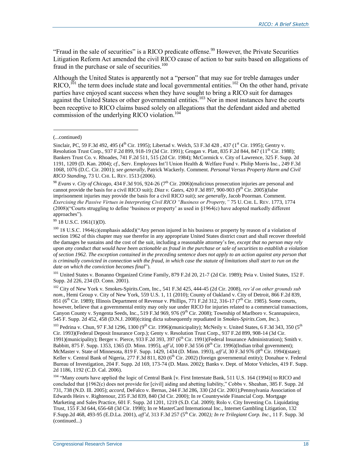"Fraud in the sale of securities" is a RICO predicate offense.<sup>99</sup> However, the Private Securities Litigation Reform Act amended the civil RICO cause of action to bar suits based on allegations of fraud in the purchase or sale of securities.<sup>100</sup>

Although the United States is apparently not a "person" that may sue for treble damages under RICO,<sup>101</sup> the term does include state and local governmental entities.<sup>102</sup> On the other hand, private parties have enjoyed scant success when they have sought to bring a RICO suit for damages against the United States or other governmental entities.<sup>103</sup> Nor in most instances have the courts been receptive to RICO claims based solely on allegations that the defendant aided and abetted commission of the underlying RICO violation.<sup>104</sup>

 $\overline{a}$ 

<sup>98</sup> *Evans v. City of Chicago*, 434 F.3d 916, 924-26 (7<sup>th</sup> Cir. 2006)(malicious prosecution injuries are personal and cannot provide the basis for a civil RICO suit); *Diaz v. Gates*, 420 F.3d 897, 900-903 (9<sup>th</sup> Cir. 2005)(false imprisonment injuries may provide the basis for a civil RICO suit); *see generally,* Jacob Poorman. Comment. *Exercising the Passive Virtues in Interpreting Civil RICO "Business or Property,"* 75 U. CHI. L. REV. 1773, 1774 (2008)("Courts struggling to define 'business or property' as used in §1964(c) have adopted markedly different approaches").

<sup>99</sup> 18 U.S.C. 1961(1)(D).

<sup>101</sup> United States v. Bonanno Organized Crime Family, 879 F.2d 20, 21-7 (2d Cir. 1989); Peia v. United States, 152 F. Supp. 2d 226, 234 (D. Conn. 2001).

<sup>102</sup> City of New York v. Smokes-Spirits.Com, Inc., 541 F.3d 425, 444-45 (2d Cir. 2008), *rev'd on other grounds sub nom.*, Hemi Group v. City of New York, 559 U.S. 1, 11 (2010); County of Oakland v. City of Detroit, 866 F.2d 839, 851 ( $6<sup>th</sup>$  Cir. 1989); Illinois Department of Revenue v. Phillips, 771 F.2d 312, 316-17 ( $7<sup>th</sup>$  Cir. 1985). Some courts, however, believe that a governmental entity may only sue under RICO for injuries related to a commercial transactions, Canyon County v. Syngenta Seeds, Inc., 519 F.3d 969, 976 (9<sup>th</sup> Cir. 2008); Township of Marlboro v. Scannapuieco, 545 F. Supp. 2d 452, 458 (D.N.J. 2008)(citing dicta subsequently repudiated in *Smokes-Spirits.Com, Inc.*).

 $103$  Pedrina v. Chun, 97 F.3d 1296, 1300 (9<sup>th</sup> Cir. 1996)(municipality); McNeily v. United States, 6 F.3d 343, 350 (5<sup>th</sup> Cir. 1993)(Federal Deposit Insurance Corp.); Genty v. Resolution Trust Corp., 937 F.2d 899, 908-14 (3d Cir. 1991)(municipality); Berger v. Pierce, 933 F.2d 393, 397 (6<sup>th</sup> Cir. 1991)(Federal Insurance Administration); Smith v. Babbitt, 875 F. Supp. 1353, 1365 (D. Minn. 1995), *aff'd*, 100 F.3d 556 (8th Cir. 1996)(Indian tribal government); McMaster v. State of Minnesota, 819 F. Supp. 1429, 1434 (D. Minn. 1993), *aff'd*, 30 F.3d 976 (8th Cir. 1994)(state); Keller v. Central Bank of Nigeria, 277 F.3d  $811$ , 820 (6<sup>th</sup> Cir. 2002) (foreign governmental entity); Donahue v. Federal Bureau of Investigation, 204 F. Supp. 2d 169, 173-74 (D. Mass. 2002); Banks v. Dept. of Motor Vehicles, 419 F. Supp. 2d 1186, 1192 (C.D. Cal. 2006).

<sup>104</sup> "Many courts have applied the logic of Central Bank [v. First Interstate Bank, 511 U.S. 164 (1994)] to RICO and concluded that §1962(c) does not provide for [civil] aiding and abetting liability," Cobbs v. Sheahan, 385 F. Supp. 2d 731, 738 (N.D. Ill. 2005); *accord,* DeFalco v. Bernas, 244 F.3d 286, 330 (2d Cir. 2001);Pennsylvania Association of Edwards Heirs v. Rightenour, 235 F.3d 839, 840 (3d Cir. 2000); In re Countrywide Financial Corp. Mortgage Marketing and Sales Practice, 601 F. Supp. 2d 1201, 1219 (S.D. Cal. 2009); Rolo v. City Investing Co. Liquidating Trust, 155 F.3d 644, 656-68 (3d Cir. 1998); In re MasterCard International Inc., Internet Gambling Litigation, 132 F.Supp.2d 468, 493-95 (E.D.La. 2001), *aff'd*, 313 F.3d 257 (5th Cir. 2002*); In re Trilegiant Corp. Inc*., 11 F. Supp. 3d (continued...)

<sup>(...</sup>continued)

Sinclair, PC, 59 F.3d 492, 495 (4<sup>th</sup> Cir. 1995); Libertad v. Welch, 53 F.3d 428, 437 (1<sup>st</sup> Cir. 1995); Gentry v. Resolution Trust Corp., 937 F.2d 899, 918-19 (3d Cir. 1991); Grogan v. Platt, 835 F.2d 844, 847 (11<sup>th</sup> Cir. 1988); Bankers Trust Co. v. Rhoades, 741 F.2d 511, 515 (2d Cir. 1984); McCormick v. City of Lawrence, 325 F. Supp. 2d 1191, 1209 (D. Kan. 2004); *cf*., Serv. Employees Int'l Union Health & Welfare Fund v. Philip Morris Inc., 249 F.3d 1068, 1076 (D.C. Cir. 2001); *see generally,* Patrick Wackerly. Comment. *Personal Versus Property Harm and Civil RICO Standing*, 73 U. CHI. L. REV. 1513 (2006).

<sup>&</sup>lt;sup>100</sup> 18 U.S.C. 1964(c)(emphasis added)("Any person injured in his business or property by reason of a violation of section 1962 of this chapter may sue therefor in any appropriate United States district court and shall recover threefold the damages he sustains and the cost of the suit, including a reasonable attorney's fee, *except that no person may rely upon any conduct that would have been actionable as fraud in the purchase or sale of securities to establish a violation of section 1962. The exception contained in the preceding sentence does not apply to an action against any person that*  is criminally convicted in connection with the fraud, in which case the statute of limitations shall start to run on the *date on which the conviction becomes final*").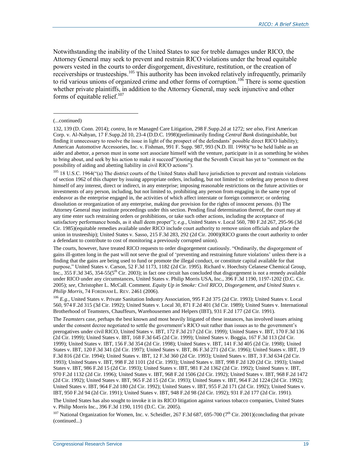Notwithstanding the inability of the United States to sue for treble damages under RICO, the Attorney General may seek to prevent and restrain RICO violations under the broad equitable powers vested in the courts to order disgorgement, divestiture, restitution, or the creation of receiverships or trusteeships.<sup>105</sup> This authority has been invoked relatively infrequently, primarily to rid various unions of organized crime and other forms of corruption.<sup>106</sup> There is some question whether private plaintiffs, in addition to the Attorney General, may seek injunctive and other forms of equitable relief. $107$ 

 $\overline{a}$ 

<sup>105</sup> 18 U.S.C. 1964("(a) The district courts of the United States shall have jurisdiction to prevent and restrain violations of section 1962 of this chapter by issuing appropriate orders, including, but not limited to: ordering any person to divest himself of any interest, direct or indirect, in any enterprise; imposing reasonable restrictions on the future activities or investments of any person, including, but not limited to, prohibiting any person from engaging in the same type of endeavor as the enterprise engaged in, the activities of which affect interstate or foreign commerce; or ordering dissolution or reorganization of any enterprise, making due provision for the rights of innocent persons. (b) The Attorney General may institute proceedings under this section. Pending final determination thereof, the court may at any time enter such restraining orders or prohibitions, or take such other actions, including the acceptance of satisfactory performance bonds, as it shall deem proper"); *e.g.,* United States v. Local 560, 780 F.2d 267, 295-96 (3d Cir. 1985)(equitable remedies available under RICO include court authority to remove union officials and place the union in trusteeship); United States v. Sasso, 215 F.3d 283, 292 (2d Cir. 2000)(RICO grants the court authority to order a defendant to contribute to cost of monitoring a previously corrupted union).

The courts, however, have treated RICO requests to order disgorgement cautiously. "Ordinarily, the disgorgement of gains ill-gotten long in the past will not serve the goal of 'preventing and restraining future violations' unless there is a finding that the gains are being used to fund or promote the illegal conduct, or constitute capital available for that purpose," United States v. Carson, 52 F.3d 1173, 1182 (2d Cir. 1995). Richard v. Hoechsty Celanese Chemical Group, Inc., 355 F.3d 345, 354-55( $5<sup>th</sup>$  Cir. 2003); in fact one circuit has concluded that disgorgement is not a remedy available under RICO under any circumstances, United States v. Philip Morris USA, Inc*.*, 396 F.3d 1190, 1197-1202 (D.C. Cir. 2005); *see,* Christopher L. McCall. Comment. *Equity Up in Smoke: Civil RICO, Disgorgement, and United States v. Philip Morris*, 74 FORDHAM L. REV. 2461 (2006).

<sup>106</sup> *E.g.*, United States v. Private Sanitation Industry Association, 995 F.2d 375 (2d Cir. 1993); United States v. Local 560, 974 F.2d 315 (3d Cir. 1992); United States v. Local 30, 871 F.2d 401 (3d Cir. 1989); United States v. International Brotherhood of Teamsters, Chauffeurs, Warehousemen and Helpers (IBT), 931 F.2d 177 (2d Cir. 1991).

The *Teamsters* case, perhaps the best known and most heavily litigated of these instances, has involved issues arising under the consent decree negotiated to settle the government's RICO suit rather than issues as to the government's prerogatives under civil RICO, United States v. IBT, 172 F.3d 217 (2d Cir. 1999); United States v. IBT, 170 F.3d 136 (2d Cir. 1999); United States v. IBT, 168 F.3d 645 (2d Cir. 1999); United States v. Boggia, 167 F.3d 113 (2d Cir. 1999); United States v. IBT, 156 F.3d 354 (2d Cir. 1998); United States v. IBT, 141 F.3d 405 (2d Cir. 1998); United States v. IBT, 120 F.3d 341 (2d Cir. 1997); United States v. IBT, 86 F.3d 271 (2d Cir. 1996); United States v. IBT, 19 F.3d 816 (2d Cir. 1994); United States v. IBT, 12 F.3d 360 (2d Cir. 1993); United States v. IBT, 3 F.3d 634 (2d Cir. 1993); United States v. IBT, 998 F.2d 1101 (2d Cir. 1993); United States v. IBT, 998 F.2d 120 (2d Cir. 1993); United States v. IBT, 986 F.2d 15 (2d Cir. 1993); United States v. IBT, 981 F.2d 1362 (2d Cir. 1992); United States v. IBT, 970 F.2d 1132 (2d Cir. 1996); United States v. IBT, 968 F.2d 1506 (2d Cir. 1992); United States v. IBT, 968 F.2d 1472 (2d Cir. 1992); United States v. IBT, 965 F.2d 15 (2d Cir. 1993); United States v. IBT, 964 F.2d 1224 (2d Cir. 1992); United States v. IBT, 964 F.2d 180 (2d Cir. 1992); United States v. IBT, 955 F.2d 171 (2d Cir. 1992); United States v. IBT, 950 F.2d 94 (2d Cir. 1991); United States v. IBT, 948 F.2d 98 (2d Cir. 1992); 931 F.2d 177 (2d Cir. 1991).

The United States has also sought to invoke it in its RICO litigation against various tobacco companies, United States v. Philip Morris Inc*.*, 396 F.3d 1190, 1191 (D.C. Cir. 2005).

<sup>107</sup> National Organization for Women, Inc. v. Scheidler, 267 F.3d 687, 695-700 (7<sup>th</sup> Cir. 2001)(concluding that private (continued...)

<sup>(...</sup>continued)

<sup>132, 139 (</sup>D. Conn. 2014); *contra*, In re Managed Care Litigation, 298 F.Supp.2d at 1272; *see also*, First American Corp. v. Al-Nahyan*,* 17 F.Supp.2d 10, 23-4 (D.D.C. 1998)(preliminarily finding *Central Bank* distinguishable, but finding it unnecessary to resolve the issue in light of the prospect of the defendants' possible direct RICO liability); American Automotive Accessories, Inc. v. Fishman, 991 F. Supp. 987, 993 (N.D. Ill. 1998)("to be held liable as an aider and abettor, a person must in some sort associate himself with the venture, participate in it as something he wishes to bring about, and seek by his action to make it succeed")(noting that the Seventh Circuit has yet to "comment on the possibility of aiding and abetting liability in civil RICO actions").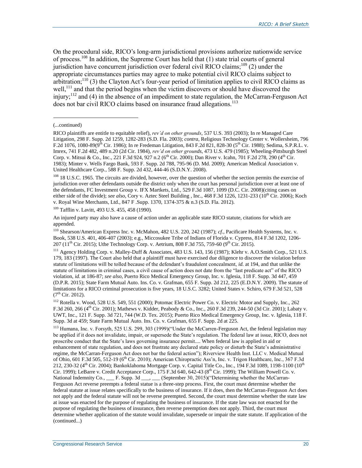On the procedural side, RICO's long-arm jurisdictional provisions authorize nationwide service of process.<sup>108</sup> In addition, the Supreme Court has held that (1) state trial courts of general jurisdiction have concurrent jurisdiction over federal civil RICO claims; $^{109}$  (2) under the appropriate circumstances parties may agree to make potential civil RICO claims subject to arbitration;<sup>110</sup> (3) the Clayton Act's four-year period of limitation applies to civil RICO claims as well, $^{111}$  and that the period begins when the victim discovers or should have discovered the injury; $^{112}$  and (4) in the absence of an impediment to state regulation, the McCarran-Ferguson Act does not bar civil RICO claims based on insurance fraud allegations.<sup>113</sup>

l

<sup>108</sup> 18 U.S.C. 1965. The circuits are divided, however, over the question of whether the section permits the exercise of jurisdiction over other defendants outside the district only when the court has personal jurisdiction over at least one of the defendants, FC Investment Group v. IFX Martkets, Ltd., 529 F.3d 1087, 1099 (D.C. Cir. 2008)(citing cases on either side of the divide); *see also*, Cory v. Aztec Steel Building, Inc., 468 F.3d 1226, 1231-233 (10<sup>th</sup> Cir. 2006); Koch v. Royal Wine Merchants, Ltd., 847 F .Supp. 1370, 1374-375 & n.3 (S.D. Fla. 2012).

<sup>109</sup> Tafflin v. Lavitt, 493 U.S. 455, 458 (1990).

An injured party may also have a cause of action under an applicable state RICO statute, citations for which are appended.

<sup>111</sup> Agency Holding Corp. v. Malley-Duff & Associates, 483 U.S. 143, 156 (1987); Klehr v. A.O.Smith Corp*.*, 521 U.S. 179, 183 (1997). The Court also held that a plaintiff must have exercised due diligence to discover the violation before statute of limitations will be tolled because of the defendant's fraudulent concealment, *id.* at 194, and that unlike the statute of limitations in criminal cases, a civil cause of action does not date from the "last predicate act" of the RICO violation, *id.* at 186-87; *see also*, Puerto Rico Medical Emergency Group, Inc. v. Iglesia, 118 F. Supp. 3d 447, 459 (D.P.R. 2015); State Farm Mutual Auto. Ins. Co. v. Grafman, 655 F. Supp. 2d 212, 225 (E.D.N.Y. 2009). The statute of limitations for a RICO criminal prosecution is five years, 18 U.S.C. 3282; United States v. Schiro, 679 F.3d 521, 528  $(7<sup>th</sup> Cir. 2012).$ 

<sup>112</sup> Rotella v. Wood, 528 U.S. 549, 551 (2000); Potomac Electric Power Co. v. Electric Motor and Supply, Inc., 262 F.3d 260, 266 (4<sup>th</sup> Cir. 2001); Mathews v. Kidder, Peabody & Co., Inc., 260 F.3d 239, 244-50 (3d Cir. 2001); Labaty v. UWT, Inc., 121 F. Supp. 3d 721, 744 (W.D. Tex. 2015); Puerto Rico Medical Emergency Group, Inc. v. Iglesia, 118 F. Supp. 3d at 459; State Farm Mutual Auto. Ins. Co. v. Grafman, 655 F. Supp. 2d at 225.

<sup>113</sup> Humana, Inc. v. Forsyth, 525 U.S. 299, 303 (1999)("Under the McCarren-Ferguson Act, the federal legislation may be applied if it does not invalidate, impair, or supersede the State's regulation. The federal law at issue, RICO, does not proscribe conduct that the State's laws governing insurance permit.... When federal law is applied in aid or enhancement of state regulation, and does not frustrate any declared state policy or disturb the State's administrative regime, the McCarran-Ferguson Act does not bar the federal action"); Riverview Health Inst. LLC v. Medical Mutual of Ohio, 601 F.3d 505, 512-19 (6<sup>th</sup> Cir. 2010); American Chiropractic Ass'n, Inc. v. Trigon Healthcare, Inc., 367 F.3d 212, 230-32 ( $4^{\text{th}}$  Cir. 2004); Bankoklahoma Mortgage Corp. v. Capital Title Co., Inc., 194 F.3d 1089, 1198-1100 (10<sup>th</sup>) Cir. 1999); LeBarre v. Credit Acceptance Corp., 175 F.3d 640, 642-43 ( $8<sup>th</sup>$  Cir. 1999); The William Powell Co. v. National Indemnity Co., \_\_\_ F. Supp. 3d \_\_\_, \_\_\_ (September 30, 2015)("Determining whether the McCarran-Ferguson Act reverse preempts a federal statue is a three-step process. First, the court must determine whether the federal statute at issue relates specifically to the business of insurance. If it does, then the McCarran-Ferguson Act does not apply and the federal statute will not be reverse preempted. Second, the court must determine whether the state law at issue was enacted for the purpose of regulating the business of insurance. If the state law was not enacted for the purpose of regulating the business of insurance, then reverse preemption does not apply. Third, the court must determine whether application of the statute would invalidate, supersede or impair the state statute. If application of the (continued...)

<sup>(...</sup>continued)

RICO plaintiffs are entitle to equitable relief), *rev'd on other grounds*, 537 U.S. 393 (2003); In re Managed Care Litigation, 298 F. Supp. 2d 1259, 1282-283 (S.D. Fla. 2003); *contra*, Religious Technology Center v. Wollersheim, 796 F.2d 1076, 1080-89(9<sup>th</sup> Cir. 1986); In re Fredeman Litigation, 843 F.2d 821, 828-30 (5<sup>th</sup> Cir. 1988); Sedima, S.P.R.L. v. Imrex, 741 F.2d 482, 489 n.20 (2d Cir. 1984), *rev'd on other grounds*, 473 U.S. 479 (1985); Wheeling-Pittsburgh Steel Corp. v. Mitsui & Co., Inc., 221 F.3d 924, 927 n.2 (6<sup>th</sup> Cir. 2000); Dan River v. Icahn, 701 F.2d 278, 290 (4<sup>th</sup> Cir. 1983); Minter v. Wells Fargo Bank, 593 F. Supp. 2d 788, 795-96 (D. Md. 2009); American Medical Association v. United Healthcare Corp*.*, 588 F. Supp. 2d 432, 444-46 (S.D.N.Y. 2008).

<sup>110</sup> Shearson/American Express Inc. v. McMahon, 482 U.S. 220, 242 (1987); *cf.,* Pacificare Health Systems, Inc. v. Book, 538 U.S. 401, 406-407 (2003); e.g., Miccosukee Tribe of Indians of Florida v. Cypress, 814 F.3d 1202, 1206- 207 ( $11^{th}$  Cir. 2015); Uthe Technology Corp. v. Aetrium, 808 F.3d 755, 759-60 (9<sup>th</sup> Cir. 2015).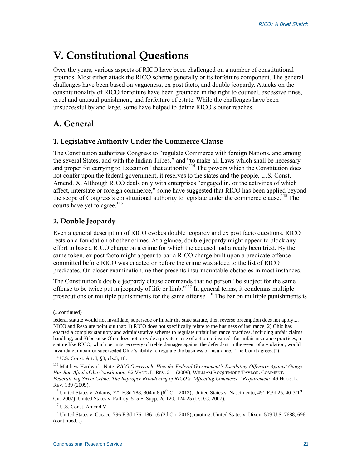# **V. Constitutional Questions**

Over the years, various aspects of RICO have been challenged on a number of constitutional grounds. Most either attack the RICO scheme generally or its forfeiture component. The general challenges have been based on vagueness, ex post facto, and double jeopardy. Attacks on the constitutionality of RICO forfeiture have been grounded in the right to counsel, excessive fines, cruel and unusual punishment, and forfeiture of estate. While the challenges have been unsuccessful by and large, some have helped to define RICO's outer reaches.

## **A. General**

## **1. Legislative Authority Under the Commerce Clause**

The Constitution authorizes Congress to "regulate Commerce with foreign Nations, and among the several States, and with the Indian Tribes," and "to make all Laws which shall be necessary and proper for carrying to Execution" that authority.<sup>114</sup> The powers which the Constitution does not confer upon the federal government, it reserves to the states and the people, U.S. Const. Amend. X. Although RICO deals only with enterprises "engaged in, or the activities of which affect, interstate or foreign commerce," some have suggested that RICO has been applied beyond the scope of Congress's constitutional authority to legislate under the commerce clause.<sup>115</sup> The courts have yet to agree. $116$ 

## **2. Double Jeopardy**

Even a general description of RICO evokes double jeopardy and ex post facto questions. RICO rests on a foundation of other crimes. At a glance, double jeopardy might appear to block any effort to base a RICO charge on a crime for which the accused had already been tried. By the same token, ex post facto might appear to bar a RICO charge built upon a predicate offense committed before RICO was enacted or before the crime was added to the list of RICO predicates. On closer examination, neither presents insurmountable obstacles in most instances.

The Constitution's double jeopardy clause commands that no person "be subject for the same offense to be twice put in jeopardy of life or limb."<sup>117</sup> In general terms, it condemns multiple prosecutions or multiple punishments for the same offense.<sup>118</sup> The bar on multiple punishments is

l

<sup>(...</sup>continued)

federal statute would not invalidate, supersede or impair the state statute, then reverse preemption does not apply.... NICO and Resolute point out that: 1) RICO does not specifically relate to the business of insurance; 2) Ohio has enacted a complex statutory and administrative scheme to regulate unfair insurance practices, including unfair claims handling; and 3) because Ohio does not provide a private cause of action to insureds for unfair insurance practices, a statute like RICO, which permits recovery of treble damages against the defendant in the event of a violation, would invalidate, impair or superseded Ohio's ability to regulate the business of insurance. [The Court agrees.]").

<sup>114</sup> U.S. Const. Art. I, §8, cls.3, 18.

<sup>115</sup> Matthew Hardwick. Note. *RICO Overreach: How the Federal Government's Escalating Offensive Against Gangs Has Run Afoul of the Constitution*, 62 VAND. L. REV. 211 (2009); WILLIAM ROQUEMORE TAYLOR. COMMENT. *Federalizing Street Crime: The Improper Broadening of RICO's "Affecting Commerce" Requirement*, 46 HOUS. L. REV. 139 (2009).

 $116$  United States v. Adams, 722 F.3d 788, 804 n.8 (6<sup>th</sup> Cir. 2013); United States v. Nascimento, 491 F.3d 25, 40-3(1<sup>st</sup>) Cir. 2007); United States v. Palfrey, 515 F. Supp. 2d 120, 124-25 (D.D.C. 2007).

<sup>117</sup> U.S. Const. Amend.V.

<sup>118</sup> United States v. Cacace, 796 F.3d 176, 186 n.6 (2d Cir. 2015), quoting, United States v. Dixon, 509 U.S. 7688, 696 (continued...)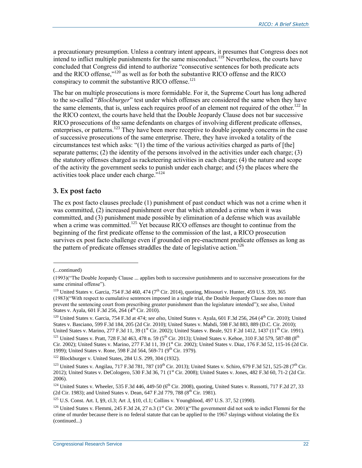a precautionary presumption. Unless a contrary intent appears, it presumes that Congress does not intend to inflict multiple punishments for the same misconduct.<sup>119</sup> Nevertheless, the courts have concluded that Congress did intend to authorize "consecutive sentences for both predicate acts and the RICO offense, $^{120}$  as well as for both the substantive RICO offense and the RICO conspiracy to commit the substantive RICO offense.<sup>121</sup>

The bar on multiple prosecutions is more formidable. For it, the Supreme Court has long adhered to the so-called "*Blockburger*" test under which offenses are considered the same when they have the same elements, that is, unless each requires proof of an element not required of the other.<sup>122</sup> In the RICO context, the courts have held that the Double Jeopardy Clause does not bar successive RICO prosecutions of the same defendants on charges of involving different predicate offenses, enterprises, or patterns.<sup>123</sup> They have been more receptive to double jeopardy concerns in the case of successive prosecutions of the same enterprise. There, they have invoked a totality of the circumstances test which asks: "(1) the time of the various activities charged as parts of [the] separate patterns; (2) the identity of the persons involved in the activities under each charge; (3) the statutory offenses charged as racketeering activities in each charge; (4) the nature and scope of the activity the government seeks to punish under each charge; and (5) the places where the activities took place under each charge.<sup>5,124</sup>

### **3. Ex post facto**

The ex post facto clauses preclude (1) punishment of past conduct which was not a crime when it was committed, (2) increased punishment over that which attended a crime when it was committed, and (3) punishment made possible by elimination of a defense which was available when a crime was committed.<sup>125</sup> Yet because RICO offenses are thought to continue from the beginning of the first predicate offense to the commission of the last, a RICO prosecution survives ex post facto challenge even if grounded on pre-enactment predicate offenses as long as the pattern of predicate offenses straddles the date of legislative action.<sup>126</sup>

 $\overline{a}$ 

 $121$  United States v. Pratt, 728 F.3d 463, 478 n. 59 (5<sup>th</sup> Cir. 2013); United States v. Kehoe, 310 F.3d 579, 587-88 (8<sup>th</sup>) Cir. 2002); United States v. Marino, 277 F.3d 11, 39 (1<sup>st</sup> Cir. 2002); United States v. Diaz, 176 F.3d 52, 115-16 (2d Cir. 1999); United States v. Rone, 598 F.2d 564, 569-71 (9<sup>th</sup> Cir. 1979).

<sup>122</sup> Blockburger v. United States, 284 U.S. 299, 304 (1932).

<sup>(...</sup>continued)

<sup>(1993)(&</sup>quot;The Double Jeopardy Clause ... applies both to successive punishments and to successive prosecutions for the same criminal offense").

<sup>&</sup>lt;sup>119</sup> United States v. Garcia, 754 F.3d 460, 474 (7<sup>th</sup> Cir. 2014), quoting, Missouri v. Hunter, 459 U.S. 359, 365 (1983)("With respect to cumulative sentences imposed in a single trial, the Double Jeopardy Clause does no more than prevent the sentencing court from prescribing greater punishment than the legislature intended"); see also, United States v. Ayala, 601 F.3d 256, 264 (4<sup>th</sup> Cir. 2010).

<sup>&</sup>lt;sup>120</sup> United States v. Garcia, 754 F.3d at 474; see also, United States v. Ayala, 601 F.3d 256, 264 (4<sup>th</sup> Cir. 2010); United States v. Basciano, 599 F.3d 184, 205 (2d Cir. 2010); United States v. Mahdi, 598 F.3d 883, 889 (D.C. Cir. 2010); United States v. Marino, 277 F.3d 11, 39 ( $1<sup>st</sup> Cir. 2002$ ); United States v. Beale, 921 F.2d 1412, 1437 ( $11<sup>th</sup> Cir. 1991$ ).

<sup>&</sup>lt;sup>123</sup> United States v. Angilau, 717 F.3d 781, 787 (10<sup>th</sup> Cir. 2013); United States v. Schiro, 679 F.3d 521, 525-28 (7<sup>th</sup> Cir. 2012); United States v. DeCologero, 530 F.3d 36, 71 (1<sup>st</sup> Cir. 2008); United States v. Jones, 482 F.3d 60, 71-2 (2d Cir. 2006).

 $124$  United States v. Wheeler, 535 F.3d 446, 449-50 ( $6<sup>th</sup>$  Cir. 2008), quoting, United States v. Russotti, 717 F.2d 27, 33 (2d Cir. 1983); and United States v. Dean, 647 F.2d 779, 788 (8<sup>th</sup> Cir. 1981).

<sup>125</sup> U.S. Const. Art. I, §9, cl.3; Art .I, §10, cl.1; Collins v. Youngblood, 497 U.S. 37, 52 (1990).

<sup>&</sup>lt;sup>126</sup> United States v. Flemmi, 245 F.3d 24, 27 n.3 (1<sup>st</sup> Cir. 2001)("The government did not seek to indict Flemmi for the crime of murder because there is no federal statute that can be applied to the 1967 slayings without violating the Ex (continued...)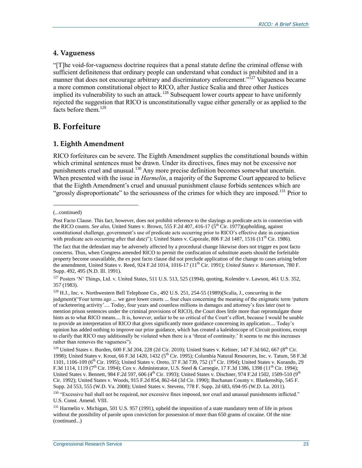### **4. Vagueness**

"[T]he void-for-vagueness doctrine requires that a penal statute define the criminal offense with sufficient definiteness that ordinary people can understand what conduct is prohibited and in a manner that does not encourage arbitrary and discriminatory enforcement.<sup>"127</sup> Vagueness became a more common constitutional object to RICO, after Justice Scalia and three other Justices implied its vulnerability to such an attack.<sup>128</sup> Subsequent lower courts appear to have uniformly rejected the suggestion that RICO is unconstitutionally vague either generally or as applied to the facts before them.<sup>129</sup>

## **B. Forfeiture**

### **1. Eighth Amendment**

RICO forfeitures can be severe. The Eighth Amendment supplies the constitutional bounds within which criminal sentences must be drawn. Under its directives, fines may not be excessive nor punishments cruel and unusual.<sup>130</sup> Any more precise definition becomes somewhat uncertain. When presented with the issue in *Harmelin*, a majority of the Supreme Court appeared to believe that the Eighth Amendment's cruel and unusual punishment clause forbids sentences which are "grossly disproportionate" to the seriousness of the crimes for which they are imposed.<sup>131</sup> Prior to

 $\overline{a}$ 

<sup>(...</sup>continued)

Post Facto Clause. This fact, however, does not prohibit reference to the slayings as predicate acts in connection with the RICO counts. *See also*, United States v. Brown, 555 F.2d 407, 416-17 (5<sup>th</sup> Cir. 1977)(upholding, against constitutional challenge, government's use of predicate acts occurring prior to RICO's effective date in conjunction with predicate acts occurring after that date)"); United States v. Caporale,  $806$  F.2d 1487, 1516 (11<sup>th</sup> Cir. 1986).

The fact that the defendant may be adversely affected by a procedural change likewise does not trigger ex post facto concerns. Thus, when Congress amended RICO to permit the confiscation of substitute assets should the forfeitable property become unavailable, the ex post facto clause did not preclude application of the change to cases arising before the amendment, United States v. Reed, 924 F.2d 1014, 1016-17 (11th Cir. 1991); *United States v. Martenson*, 780 F. Supp. 492, 495 (N.D. Ill. 1991).

<sup>127</sup> Posters 'N' Things, Ltd. v. United States, 511 U.S. 513, 525 (1994), quoting, Kolender v. Lawson, 461 U.S. 352, 357 (1983).

<sup>128</sup> H.J., Inc. v. Northwestern Bell Telephone Co*.,* 492 U.S. 251, 254-55 (1989)(Scalia, J., concurring in the judgment)("Four terms ago ... we gave lower courts ... four clues concerning the meaning of the enigmatic term 'pattern of racketeering activity'.... Today, four years and countless millions in damages and attorney's fees later (not to mention prison sentences under the criminal provisions of RICO), the Court does little more than repromulgate those hints as to what RICO means.... It is, however, unfair to be so critical of the Court's effort, because I would be unable to provide an interpretation of RICO that gives significantly more guidance concerning its application.... Today's opinion has added nothing to improve our prior guidance, which has created a kaleidoscope of Circuit positions, except to clarify that RICO may additionally be violated when there is a 'threat of continuity.' It seems to me this increases rather than removes the vagueness").

<sup>&</sup>lt;sup>129</sup> United States v. Burden, 600 F.3d 204, 228 (2d Cir. 2010); United States v. Keltner, 147 F.3d 662, 667 (8<sup>th</sup> Cir. 1998); United States v. Krout, 66 F.3d 1420, 1432 (5<sup>th</sup> Cir. 1995); Columbia Natural Resources, Inc. v. Tatum, 58 F.3d 1101, 1106-109 (6<sup>th</sup> Cir. 1995); United States v. Oreto, 37 F.3d 739, 752 (1<sup>st</sup> Cir. 1994); United States v. Korando, 29 F.3d 1114, 1119 ( $7^{th}$  Cir. 1994); Cox v. Administrator, U.S. Steel & Carnegie, 17 F.3d 1386, 1398 (11<sup>th</sup> Cir. 1994); United States v. Bennett, 984 F.2d 597, 606 (4<sup>th</sup> Cir. 1993); United States v. Dischner, 974 F.2d 1502, 1509-510 (9<sup>th</sup>) Cir. 1992); United States v. Woods, 915 F.2d 854, 862-64 (3d Cir. 1990); Buchanan County v. Blankenship, 545 F. Supp. 2d 553, 555 (W.D. Va. 2008); United States v. Stevens, 778 F. Supp. 2d 683, 694-95 (W.D. La. 2011).

<sup>&</sup>lt;sup>130</sup> "Excessive bail shall not be required, nor excessive fines imposed, nor cruel and unusual punishments inflicted." U.S. Const. Amend. VIII.

<sup>&</sup>lt;sup>131</sup> Harmelin v. Michigan, 501 U.S. 957 (1991), upheld the imposition of a state mandatory term of life in prison without the possibility of parole upon conviction for possession of more than 650 grams of cocaine. Of the nine (continued...)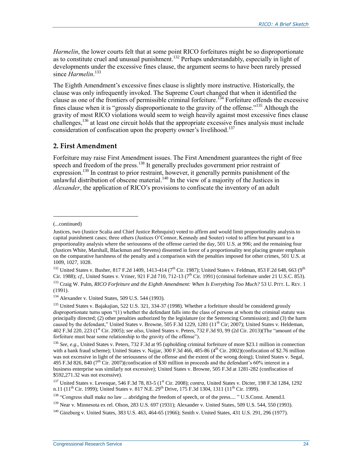*Harmelin*, the lower courts felt that at some point RICO forfeitures might be so disproportionate as to constitute cruel and unusual punishment.<sup>132</sup> Perhaps understandably, especially in light of developments under the excessive fines clause, the argument seems to have been rarely pressed since *Harmelin*. 133

The Eighth Amendment's excessive fines clause is slightly more instructive. Historically, the clause was only infrequently invoked. The Supreme Court changed that when it identified the clause as one of the frontiers of permissible criminal forfeiture. <sup>134</sup> Forfeiture offends the excessive fines clause when it is "grossly disproportionate to the gravity of the offense."<sup>135</sup> Although the gravity of most RICO violations would seem to weigh heavily against most excessive fines clause challenges, <sup>136</sup> at least one circuit holds that the appropriate excessive fines analysis must include consideration of confiscation upon the property owner's livelihood.<sup>137</sup>

### **2. First Amendment**

Forfeiture may raise First Amendment issues. The First Amendment guarantees the right of free speech and freedom of the press.<sup>138</sup> It generally precludes government prior restraint of expression.<sup>139</sup> In contrast to prior restraint, however, it generally permits punishment of the unlawful distribution of obscene material.<sup>140</sup> In the view of a majority of the Justices in *Alexander*, the application of RICO's provisions to confiscate the inventory of an adult

l

<sup>(...</sup>continued)

Justices, two (Justice Scalia and Chief Justice Rehnquist) voted to affirm and would limit proportionality analysis to capital punishment cases; three others (Justices O'Connor, Kennedy and Souter) voted to affirm but pursuant to a proportionality analysis where the seriousness of the offense carried the day, 501 U.S. at 996; and the remaining four (Justices White, Marshall, Blackmun and Stevens) dissented in favor of a proportionality test placing greater emphasis on the comparative harshness of the penalty and a comparison with the penalties imposed for other crimes, 501 U.S. at 1009, 1027, 1028.

<sup>&</sup>lt;sup>132</sup> United States v. Busher, 817 F.2d 1409, 1413-414 (7<sup>th</sup> Cir. 1987); United States v. Feldman, 853 F.2d 648, 663 (9<sup>th</sup>) Cir. 1988); *cf.*, United States v. Vriner, 921 F.2d 710, 712-13 (7<sup>th</sup> Cir. 1991) (criminal forfeiture under 21 U.S.C. 853).

<sup>&</sup>lt;sup>133</sup> Craig W. Palm, *RICO Forfeiture and the Eighth Amendment: When Is Everything Too Much?* 53 U. PITT. L. REV. 1 (1991).

<sup>134</sup> Alexander v. United States, 509 U.S. 544 (1993).

<sup>&</sup>lt;sup>135</sup> United States v. Bajakajian, 522 U.S. 321, 334-37 (1998). Whether a forfeiture should be considered grossly disproportionate turns upon "(1) whether the defendant falls into the class of persons at whom the criminal statute was principally directed; (2) other penalties authorized by the legislature (or the Sentencing Commission); and (3) the harm caused by the defendant," United States v. Browne, 505 F.3d 1229, 1281 (11<sup>th</sup> Cir; 2007); United States v. Heldeman, 402 F.3d 220, 223 (1st Cir. 2005); *see also*, United States v. Peters, 732 F.3d 93, 99 (2d Cir. 2013)(The "amount of the forfeiture must bear some relationship to the gravity of the offense").

<sup>136</sup> *See, e.g.*, United States v. Peters, 732 F.3d at 95 (upholding criminal forfeiture of more \$23.1 million in connection with a bank fraud scheme); United States v. Najjar,  $300$  F.3d  $466$ ,  $485-86$  ( $4<sup>th</sup>$  Cir. 2002)(confiscation of \$2.76 million was not excessive in light of the seriousness of the offense and the extent of the wrong doing); United States v. Segal, 495 F.3d 826, 840 ( $7<sup>th</sup>$  Cir. 2007)(confiscation of \$30 million in proceeds and the defendant's 60% interest in a business enterprise was similarly not excessive); United States v. Browne, 505 F.3d at 1281-282 (confiscation of \$592,271.32 was not excessive).

<sup>&</sup>lt;sup>137</sup> United States v. Levesque, 546 F.3d 78, 83-5 (1<sup>st</sup> Cir. 2008); *contra*, United States v. Dicter, 198 F.3d 1284, 1292 n.11 (11<sup>th</sup> Cir. 1999); United States v. 817 N.E. 29<sup>th</sup> Drive, 175 F.3d 1304, 1311 (11<sup>th</sup> Cir. 1999).

<sup>&</sup>lt;sup>138</sup> "Congress shall make no law ... abridging the freedom of speech, or of the press.... " U.S.Const. Amend.I.

<sup>&</sup>lt;sup>139</sup> Near v. Minnesota ex rel. Olson, 283 U.S. 697 (1931); Alexander v. United States, 509 U.S. 544, 550 (1993).

<sup>140</sup> Ginzburg v. United States, 383 U.S. 463, 464-65 (1966); Smith v. United States, 431 U.S. 291, 296 (1977).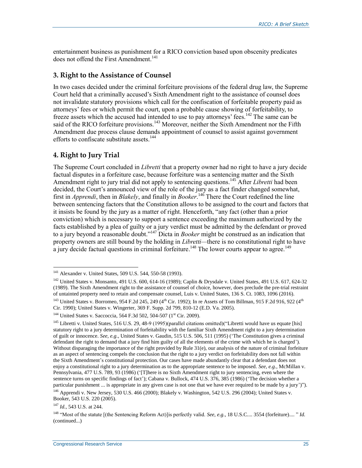entertainment business as punishment for a RICO conviction based upon obscenity predicates does not offend the First Amendment.<sup>141</sup>

### **3. Right to the Assistance of Counsel**

In two cases decided under the criminal forfeiture provisions of the federal drug law, the Supreme Court held that a criminally accused's Sixth Amendment right to the assistance of counsel does not invalidate statutory provisions which call for the confiscation of forfeitable property paid as attorneys' fees or which permit the court, upon a probable cause showing of forfeitability, to freeze assets which the accused had intended to use to pay attorneys' fees.<sup>142</sup> The same can be said of the RICO forfeiture provisions.<sup>143</sup> Moreover, neither the Sixth Amendment nor the Fifth Amendment due process clause demands appointment of counsel to assist against government efforts to confiscate substitute assets.<sup>144</sup>

## **4. Right to Jury Trial**

The Supreme Court concluded in *Libretti* that a property owner had no right to have a jury decide factual disputes in a forfeiture case, because forfeiture was a sentencing matter and the Sixth Amendment right to jury trial did not apply to sentencing questions.<sup>145</sup> After *Libretti* had been decided, the Court's announced view of the role of the jury as a fact finder changed somewhat, first in *Apprendi*, then in *Blakely*, and finally in *Booker*. <sup>146</sup> There the Court redefined the line between sentencing factors that the Constitution allows to be assigned to the court and factors that it insists be found by the jury as a matter of right. Henceforth, "any fact (other than a prior conviction) which is necessary to support a sentence exceeding the maximum authorized by the facts established by a plea of guilty or a jury verdict must be admitted by the defendant or proved to a jury beyond a reasonable doubt."<sup>147</sup> Dicta in *Booker* might be construed as an indication that property owners are still bound by the holding in *Libretti—*there is no constitutional right to have  $\alpha$  jury decide factual questions in criminal forfeiture.<sup>148</sup> The lower courts appear to agree.<sup>149</sup>

 $\overline{a}$ 

<sup>&</sup>lt;sup>141</sup> Alexander v. United States, 509 U.S. 544, 550-58 (1993).

<sup>&</sup>lt;sup>142</sup> United States v. Monsanto, 491 U.S. 600, 614-16 (1989); Caplin & Drysdale v. United States, 491 U.S. 617, 624-32 (1989). The Sixth Amendment right to the assistance of counsel of choice, however, does preclude the pre-trial restraint of untainted property need to retain and compensate counsel, Luis v. United States, 136 S. Ct. 1083, 1096 (2016).

<sup>&</sup>lt;sup>143</sup> United States v. Borromeo, 954 F.2d 245, 249 (4<sup>th</sup> Cir. 1992); In re Assets of Tom Billman, 915 F.2d 916, 922 (4<sup>th</sup> Cir. 1990); United States v. Wingerter, 369 F. Supp. 2d 799, 810-12 (E.D. Va. 2005).

<sup>&</sup>lt;sup>144</sup> United States v. Saccoccia, 564 F.3d 502, 504-507 ( $1<sup>st</sup> Cir. 2009$ ).

<sup>&</sup>lt;sup>145</sup> Libretti v. United States, 516 U.S. 29, 48-9 (1995)(parallel citations omitted)("Libretti would have us equate [his] statutory right to a jury determination of forfeitability with the familiar Sixth Amendment right to a jury determination of guilt or innocence. *See, e.g*., United States v. Gaudin, 515 U.S. 506, 511 (1995) ('The Constitution gives a criminal defendant the right to demand that a jury find him guilty of all the elements of the crime with which he is charged'). Without disparaging the importance of the right provided by Rule 31(e), our analysis of the nature of criminal forfeiture as an aspect of sentencing compels the conclusion that the right to a jury verdict on forfeitability does not fall within the Sixth Amendment's constitutional protection. Our cases have made abundantly clear that a defendant does not enjoy a constitutional right to a jury determination as to the appropriate sentence to be imposed. *See, e.g.,* McMillan v. Pennsylvania, 477 U.S. 789, 93 (1986) ('[T]here is no Sixth Amendment right to jury sentencing, even where the sentence turns on specific findings of fact'); Cabana v. Bullock, 474 U.S. 376, 385 (1986) ('The decision whether a particular punishment ... is appropriate in any given case is not one that we have ever required to be made by a jury')").

<sup>&</sup>lt;sup>146</sup> Apprendi v. New Jersey, 530 U.S. 466 (2000); Blakely v. Washington, 542 U.S. 296 (2004); United States v. Booker, 543 U.S. 220 (2005).

<sup>147</sup> *Id.*, 543 U.S. at 244.

<sup>148</sup> "Most of the statute [(the Sentencing Reform Act)]is perfectly valid. *See*, *e.g.*, 18 U.S.C.... 3554 (forfeiture).... " *Id.* (continued...)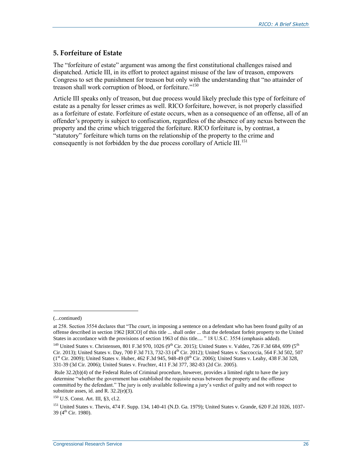## **5. Forfeiture of Estate**

The "forfeiture of estate" argument was among the first constitutional challenges raised and dispatched. Article III, in its effort to protect against misuse of the law of treason, empowers Congress to set the punishment for treason but only with the understanding that "no attainder of treason shall work corruption of blood, or forfeiture."<sup>150</sup>

Article III speaks only of treason, but due process would likely preclude this type of forfeiture of estate as a penalty for lesser crimes as well. RICO forfeiture, however, is not properly classified as a forfeiture of estate. Forfeiture of estate occurs, when as a consequence of an offense, all of an offender's property is subject to confiscation, regardless of the absence of any nexus between the property and the crime which triggered the forfeiture. RICO forfeiture is, by contrast, a "statutory" forfeiture which turns on the relationship of the property to the crime and consequently is not forbidden by the due process corollary of Article III.<sup>151</sup>

 $\overline{a}$ 

<sup>(...</sup>continued)

at 258. Section 3554 declares that "The *court*, in imposing a sentence on a defendant who has been found guilty of an offense described in section 1962 [RICO] of this title ... shall order ... that the defendant forfeit property to the United States in accordance with the provisions of section 1963 of this title.... " 18 U.S.C. 3554 (emphasis added).

<sup>&</sup>lt;sup>149</sup> United States v. Christensen, 801 F.3d 970, 1026 (9<sup>th</sup> Cir. 2015); United States v. Valdez, 726 F.3d 684, 699 (5<sup>th</sup>) Cir. 2013); United States v. Day, 700 F.3d 713, 732-33 (4th Cir. 2012); United States v. Saccoccia, 564 F.3d 502, 507 (1st Cir. 2009); United States v. Huber, 462 F.3d 945, 948-49 (8th Cir. 2006); United States v. Leahy, 438 F.3d 328, 331-39 (3d Cir. 2006); United States v. Fruchter, 411 F.3d 377, 382-83 (2d Cir. 2005).

Rule 32.2(b)(4) of the Federal Rules of Criminal procedure, however, provides a limited right to have the jury determine "whether the government has established the requisite nexus between the property and the offense committed by the defendant." The jury is only available following a jury's verdict of guilty and not with respect to substitute asses, id. and R.  $32.2(e)(3)$ .

<sup>150</sup> U.S. Const. Art. III, §3, cl.2.

<sup>151</sup> United States v. Thevis, 474 F. Supp. 134, 140-41 (N.D. Ga. 1979); United States v. Grande, 620 F.2d 1026, 1037- 39 (4<sup>th</sup> Cir. 1980).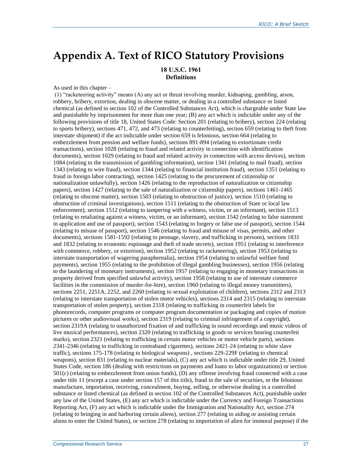## **Appendix A. Text of RICO Statutory Provisions 18 U.S.C. 1961 Definitions**

#### As used in this chapter –

(1) "racketeering activity" means (A) any act or threat involving murder, kidnaping, gambling, arson, robbery, bribery, extortion, dealing in obscene matter, or dealing in a controlled substance or listed chemical (as defined in section 102 of the Controlled Substances Act), which is chargeable under State law and punishable by imprisonment for more than one year; (B) any act which is indictable under any of the following provisions of title 18, United States Code: Section 201 (relating to bribery), section 224 (relating to sports bribery), sections 471, 472, and 473 (relating to counterfeiting), section 659 (relating to theft from interstate shipment) if the act indictable under section 659 is felonious, section 664 (relating to embezzlement from pension and welfare funds), sections 891-894 (relating to extortionate credit transactions), section 1028 (relating to fraud and related activity in connection with identification documents), section 1029 (relating to fraud and related activity in connection with access devices), section 1084 (relating to the transmission of gambling information), section 1341 (relating to mail fraud), section 1343 (relating to wire fraud), section 1344 (relating to financial institution fraud), section 1351 (relating to fraud in foreign labor contracting), section 1425 (relating to the procurement of citizenship or nationalization unlawfully), section 1426 (relating to the reproduction of naturalization or citizenship papers), section 1427 (relating to the sale of naturalization or citizenship papers), sections 1461-1465 (relating to obscene matter), section 1503 (relating to obstruction of justice), section 1510 (relating to obstruction of criminal investigations), section 1511 (relating to the obstruction of State or local law enforcement), section 1512 (relating to tampering with a witness, victim, or an informant), section 1513 (relating to retaliating against a witness, victim, or an informant), section 1542 (relating to false statement in application and use of passport), section 1543 (relating to forgery or false use of passport), section 1544 (relating to misuse of passport), section 1546 (relating to fraud and misuse of visas, permits, and other documents), sections 1581-1592 (relating to peonage, slavery, and trafficking in persons), sections 1831 and 1832 (relating to economic espionage and theft of trade secrets), section 1951 (relating to interference with commerce, robbery, or extortion), section 1952 (relating to racketeering), section 1953 (relating to interstate transportation of wagering paraphernalia), section 1954 (relating to unlawful welfare fund payments), section 1955 (relating to the prohibition of illegal gambling businesses), section 1956 (relating to the laundering of monetary instruments), section 1957 (relating to engaging in monetary transactions in property derived from specified unlawful activity), section 1958 (relating to use of interstate commerce facilities in the commission of murder-for-hire), section 1960 (relating to illegal money transmitters), sections 2251, 2251A, 2252, and 2260 (relating to sexual exploitation of children), sections 2312 and 2313 (relating to interstate transportation of stolen motor vehicles), sections 2314 and 2315 (relating to interstate transportation of stolen property), section 2318 (relating to trafficking in counterfeit labels for phonorecords, computer programs or computer program documentation or packaging and copies of motion pictures or other audiovisual works), section 2319 (relating to criminal infringement of a copyright), section 2319A (relating to unauthorized fixation of and trafficking in sound recordings and music videos of live musical performances), section 2320 (relating to trafficking in goods or services bearing counterfeit marks), section 2321 (relating to trafficking in certain motor vehicles or motor vehicle parts), sections 2341-2346 (relating to trafficking in contraband cigarettes), sections 2421-24 (relating to white slave traffic), sections 175-178 (relating to biological weapons) , sections 229-229F (relating to chemical weapons), section 831 (relating to nuclear materials), (C) any act which is indictable under title 29, United States Code, section 186 (dealing with restrictions on payments and loans to labor organizations) or section 501(c) (relating to embezzlement from union funds), (D) any offense involving fraud connected with a case under title 11 (except a case under section 157 of this title), fraud in the sale of securities, or the felonious manufacture, importation, receiving, concealment, buying, selling, or otherwise dealing in a controlled substance or listed chemical (as defined in section 102 of the Controlled Substances Act), punishable under any law of the United States, (E) any act which is indictable under the Currency and Foreign Transactions Reporting Act, (F) any act which is indictable under the Immigration and Nationality Act, section 274 (relating to bringing in and harboring certain aliens), section 277 (relating to aiding or assisting certain aliens to enter the United States), or section 278 (relating to importation of alien for immoral purpose) if the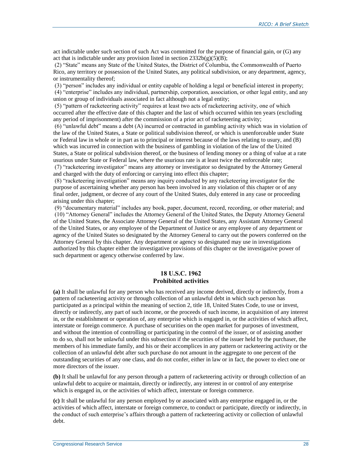act indictable under such section of such Act was committed for the purpose of financial gain, or (G) any act that is indictable under any provision listed in section  $2332b(g)(5)(B)$ ;

(2) "State" means any State of the United States, the District of Columbia, the Commonwealth of Puerto Rico, any territory or possession of the United States, any political subdivision, or any department, agency, or instrumentality thereof;

(3) "person" includes any individual or entity capable of holding a legal or beneficial interest in property; (4) "enterprise" includes any individual, partnership, corporation, association, or other legal entity, and any union or group of individuals associated in fact although not a legal entity;

(5) "pattern of racketeering activity" requires at least two acts of racketeering activity, one of which occurred after the effective date of this chapter and the last of which occurred within ten years (excluding any period of imprisonment) after the commission of a prior act of racketeering activity;

(6) "unlawful debt" means a debt (A) incurred or contracted in gambling activity which was in violation of the law of the United States, a State or political subdivision thereof, or which is unenforceable under State or Federal law in whole or in part as to principal or interest because of the laws relating to usury, and (B) which was incurred in connection with the business of gambling in violation of the law of the United States, a State or political subdivision thereof, or the business of lending money or a thing of value at a rate usurious under State or Federal law, where the usurious rate is at least twice the enforceable rate;

(7) "racketeering investigator" means any attorney or investigator so designated by the Attorney General and charged with the duty of enforcing or carrying into effect this chapter;

(8) "racketeering investigation" means any inquiry conducted by any racketeering investigator for the purpose of ascertaining whether any person has been involved in any violation of this chapter or of any final order, judgment, or decree of any court of the United States, duly entered in any case or proceeding arising under this chapter;

(9) "documentary material" includes any book, paper, document, record, recording, or other material; and (10) "Attorney General" includes the Attorney General of the United States, the Deputy Attorney General of the United States, the Associate Attorney General of the United States, any Assistant Attorney General of the United States, or any employee of the Department of Justice or any employee of any department or agency of the United States so designated by the Attorney General to carry out the powers conferred on the Attorney General by this chapter. Any department or agency so designated may use in investigations authorized by this chapter either the investigative provisions of this chapter or the investigative power of such department or agency otherwise conferred by law.

### **18 U.S.C. 1962 Prohibited activities**

**(a)** It shall be unlawful for any person who has received any income derived, directly or indirectly, from a pattern of racketeering activity or through collection of an unlawful debt in which such person has participated as a principal within the meaning of section 2, title 18, United States Code, to use or invest, directly or indirectly, any part of such income, or the proceeds of such income, in acquisition of any interest in, or the establishment or operation of, any enterprise which is engaged in, or the activities of which affect, interstate or foreign commerce. A purchase of securities on the open market for purposes of investment, and without the intention of controlling or participating in the control of the issuer, or of assisting another to do so, shall not be unlawful under this subsection if the securities of the issuer held by the purchaser, the members of his immediate family, and his or their accomplices in any pattern or racketeering activity or the collection of an unlawful debt after such purchase do not amount in the aggregate to one percent of the outstanding securities of any one class, and do not confer, either in law or in fact, the power to elect one or more directors of the issuer.

**(b)** It shall be unlawful for any person through a pattern of racketeering activity or through collection of an unlawful debt to acquire or maintain, directly or indirectly, any interest in or control of any enterprise which is engaged in, or the activities of which affect, interstate or foreign commerce.

**(c)** It shall be unlawful for any person employed by or associated with any enterprise engaged in, or the activities of which affect, interstate or foreign commerce, to conduct or participate, directly or indirectly, in the conduct of such enterprise's affairs through a pattern of racketeering activity or collection of unlawful debt.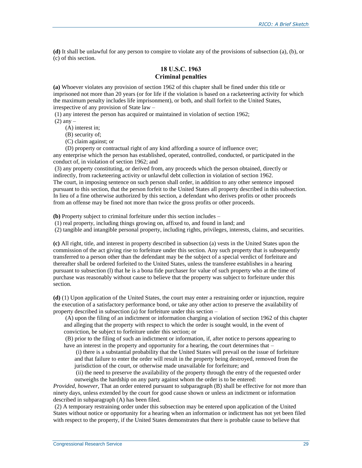**(d)** It shall be unlawful for any person to conspire to violate any of the provisions of subsection (a), (b), or (c) of this section.

### **18 U.S.C. 1963 Criminal penalties**

**(a)** Whoever violates any provision of section 1962 of this chapter shall be fined under this title or imprisoned not more than 20 years (or for life if the violation is based on a racketeering activity for which the maximum penalty includes life imprisonment), or both, and shall forfeit to the United States, irrespective of any provision of State law –

(1) any interest the person has acquired or maintained in violation of section 1962;

 $(2)$  any  $-$ 

(A) interest in;

(B) security of;

(C) claim against; or

(D) property or contractual right of any kind affording a source of influence over; any enterprise which the person has established, operated, controlled, conducted, or participated in the conduct of, in violation of section 1962; and

(3) any property constituting, or derived from, any proceeds which the person obtained, directly or indirectly, from racketeering activity or unlawful debt collection in violation of section 1962. The court, in imposing sentence on such person shall order, in addition to any other sentence imposed pursuant to this section, that the person forfeit to the United States all property described in this subsection. In lieu of a fine otherwise authorized by this section, a defendant who derives profits or other proceeds from an offense may be fined not more than twice the gross profits or other proceeds.

**(b)** Property subject to criminal forfeiture under this section includes –

(1) real property, including things growing on, affixed to, and found in land; and

(2) tangible and intangible personal property, including rights, privileges, interests, claims, and securities.

**(c)** All right, title, and interest in property described in subsection (a) vests in the United States upon the commission of the act giving rise to forfeiture under this section. Any such property that is subsequently transferred to a person other than the defendant may be the subject of a special verdict of forfeiture and thereafter shall be ordered forfeited to the United States, unless the transferee establishes in a hearing pursuant to subsection (l) that he is a bona fide purchaser for value of such property who at the time of purchase was reasonably without cause to believe that the property was subject to forfeiture under this section.

**(d)** (1) Upon application of the United States, the court may enter a restraining order or injunction, require the execution of a satisfactory performance bond, or take any other action to preserve the availability of property described in subsection (a) for forfeiture under this section –

(A) upon the filing of an indictment or information charging a violation of section 1962 of this chapter and alleging that the property with respect to which the order is sought would, in the event of conviction, be subject to forfeiture under this section; or

(B) prior to the filing of such an indictment or information, if, after notice to persons appearing to have an interest in the property and opportunity for a hearing, the court determines that –

(i) there is a substantial probability that the United States will prevail on the issue of forfeiture and that failure to enter the order will result in the property being destroyed, removed from the jurisdiction of the court, or otherwise made unavailable for forfeiture; and

(ii) the need to preserve the availability of the property through the entry of the requested order outweighs the hardship on any party against whom the order is to be entered:

*Provided, however,* That an order entered pursuant to subparagraph (B) shall be effective for not more than ninety days, unless extended by the court for good cause shown or unless an indictment or information described in subparagraph (A) has been filed.

(2) A temporary restraining order under this subsection may be entered upon application of the United States without notice or opportunity for a hearing when an information or indictment has not yet been filed with respect to the property, if the United States demonstrates that there is probable cause to believe that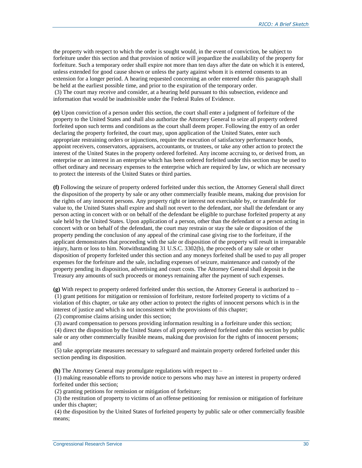the property with respect to which the order is sought would, in the event of conviction, be subject to forfeiture under this section and that provision of notice will jeopardize the availability of the property for forfeiture. Such a temporary order shall expire not more than ten days after the date on which it is entered, unless extended for good cause shown or unless the party against whom it is entered consents to an extension for a longer period. A hearing requested concerning an order entered under this paragraph shall be held at the earliest possible time, and prior to the expiration of the temporary order. (3) The court may receive and consider, at a hearing held pursuant to this subsection, evidence and information that would be inadmissible under the Federal Rules of Evidence.

**(e)** Upon conviction of a person under this section, the court shall enter a judgment of forfeiture of the property to the United States and shall also authorize the Attorney General to seize all property ordered forfeited upon such terms and conditions as the court shall deem proper. Following the entry of an order declaring the property forfeited, the court may, upon application of the United States, enter such appropriate restraining orders or injunctions, require the execution of satisfactory performance bonds, appoint receivers, conservators, appraisers, accountants, or trustees, or take any other action to protect the interest of the United States in the property ordered forfeited. Any income accruing to, or derived from, an enterprise or an interest in an enterprise which has been ordered forfeited under this section may be used to offset ordinary and necessary expenses to the enterprise which are required by law, or which are necessary to protect the interests of the United States or third parties.

**(f)** Following the seizure of property ordered forfeited under this section, the Attorney General shall direct the disposition of the property by sale or any other commercially feasible means, making due provision for the rights of any innocent persons. Any property right or interest not exercisable by, or transferable for value to, the United States shall expire and shall not revert to the defendant, nor shall the defendant or any person acting in concert with or on behalf of the defendant be eligible to purchase forfeited property at any sale held by the United States. Upon application of a person, other than the defendant or a person acting in concert with or on behalf of the defendant, the court may restrain or stay the sale or disposition of the property pending the conclusion of any appeal of the criminal case giving rise to the forfeiture, if the applicant demonstrates that proceeding with the sale or disposition of the property will result in irreparable injury, harm or loss to him. Notwithstanding 31 U.S.C. 3302(b), the proceeds of any sale or other disposition of property forfeited under this section and any moneys forfeited shall be used to pay all proper expenses for the forfeiture and the sale, including expenses of seizure, maintenance and custody of the property pending its disposition, advertising and court costs. The Attorney General shall deposit in the Treasury any amounts of such proceeds or moneys remaining after the payment of such expenses.

**(g)** With respect to property ordered forfeited under this section, the Attorney General is authorized to – (1) grant petitions for mitigation or remission of forfeiture, restore forfeited property to victims of a violation of this chapter, or take any other action to protect the rights of innocent persons which is in the interest of justice and which is not inconsistent with the provisions of this chapter;

(2) compromise claims arising under this section;

(3) award compensation to persons providing information resulting in a forfeiture under this section;

(4) direct the disposition by the United States of all property ordered forfeited under this section by public sale or any other commercially feasible means, making due provision for the rights of innocent persons; and

(5) take appropriate measures necessary to safeguard and maintain property ordered forfeited under this section pending its disposition.

**(h)** The Attorney General may promulgate regulations with respect to –

(1) making reasonable efforts to provide notice to persons who may have an interest in property ordered forfeited under this section;

(2) granting petitions for remission or mitigation of forfeiture;

(3) the restitution of property to victims of an offense petitioning for remission or mitigation of forfeiture under this chapter;

(4) the disposition by the United States of forfeited property by public sale or other commercially feasible means;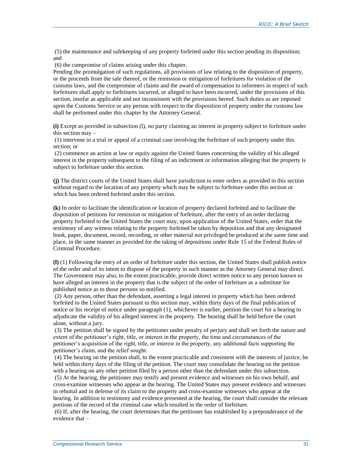(5) the maintenance and safekeeping of any property forfeited under this section pending its disposition; and

(6) the compromise of claims arising under this chapter.

Pending the promulgation of such regulations, all provisions of law relating to the disposition of property, or the proceeds from the sale thereof, or the remission or mitigation of forfeitures for violation of the customs laws, and the compromise of claims and the award of compensation to informers in respect of such forfeitures shall apply to forfeitures incurred, or alleged to have been incurred, under the provisions of this section, insofar as applicable and not inconsistent with the provisions hereof. Such duties as are imposed upon the Customs Service or any person with respect to the disposition of property under the customs law shall be performed under this chapter by the Attorney General.

**(i)** Except as provided in subsection (l), no party claiming an interest in property subject to forfeiture under this section may –

(1) intervene in a trial or appeal of a criminal case involving the forfeiture of such property under this section; or

(2) commence an action at law or equity against the United States concerning the validity of his alleged interest in the property subsequent to the filing of an indictment or information alleging that the property is subject to forfeiture under this section.

**(j)** The district courts of the United States shall have jurisdiction to enter orders as provided in this section without regard to the location of any property which may be subject to forfeiture under this section or which has been ordered forfeited under this section.

**(k)** In order to facilitate the identification or location of property declared forfeited and to facilitate the disposition of petitions for remission or mitigation of forfeiture, after the entry of an order declaring property forfeited to the United States the court may, upon application of the United States, order that the testimony of any witness relating to the property forfeited be taken by deposition and that any designated book, paper, document, record, recording, or other material not privileged be produced at the same time and place, in the same manner as provided for the taking of depositions under Rule 15 of the Federal Rules of Criminal Procedure.

**(l)** (1) Following the entry of an order of forfeiture under this section, the United States shall publish notice of the order and of its intent to dispose of the property in such manner as the Attorney General may direct. The Government may also, to the extent practicable, provide direct written notice to any person known to have alleged an interest in the property that is the subject of the order of forfeiture as a substitute for published notice as to those persons so notified.

(2) Any person, other than the defendant, asserting a legal interest in property which has been ordered forfeited to the United States pursuant to this section may, within thirty days of the final publication of notice or his receipt of notice under paragraph (1), whichever is earlier, petition the court for a hearing to adjudicate the validity of his alleged interest in the property. The hearing shall be held before the court alone, without a jury.

(3) The petition shall be signed by the petitioner under penalty of perjury and shall set forth the nature and extent of the petitioner's right, title, or interest in the property, the time and circumstances of the petitioner's acquisition of the right, title, or interest in the property, any additional facts supporting the petitioner's claim, and the relief sought.

(4) The hearing on the petition shall, to the extent practicable and consistent with the interests of justice, be held within thirty days of the filing of the petition. The court may consolidate the hearing on the petition with a hearing on any other petition filed by a person other than the defendant under this subsection. (5) At the hearing, the petitioner may testify and present evidence and witnesses on his own behalf, and cross-examine witnesses who appear at the hearing. The United States may present evidence and witnesses in rebuttal and in defense of its claim to the property and cross-examine witnesses who appear at the hearing. In addition to testimony and evidence presented at the hearing, the court shall consider the relevant portions of the record of the criminal case which resulted in the order of forfeiture.

(6) If, after the hearing, the court determines that the petitioner has established by a preponderance of the evidence that –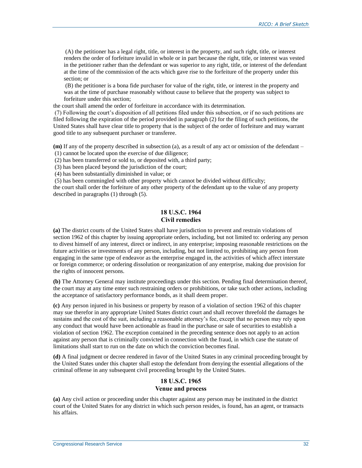(A) the petitioner has a legal right, title, or interest in the property, and such right, title, or interest renders the order of forfeiture invalid in whole or in part because the right, title, or interest was vested in the petitioner rather than the defendant or was superior to any right, title, or interest of the defendant at the time of the commission of the acts which gave rise to the forfeiture of the property under this section; or

(B) the petitioner is a bona fide purchaser for value of the right, title, or interest in the property and was at the time of purchase reasonably without cause to believe that the property was subject to forfeiture under this section;

the court shall amend the order of forfeiture in accordance with its determination.

(7) Following the court's disposition of all petitions filed under this subsection, or if no such petitions are filed following the expiration of the period provided in paragraph (2) for the filing of such petitions, the United States shall have clear title to property that is the subject of the order of forfeiture and may warrant good title to any subsequent purchaser or transferee.

**(m)** If any of the property described in subsection (a), as a result of any act or omission of the defendant – (1) cannot be located upon the exercise of due diligence;

(2) has been transferred or sold to, or deposited with, a third party;

(3) has been placed beyond the jurisdiction of the court;

(4) has been substantially diminished in value; or

(5) has been commingled with other property which cannot be divided without difficulty;

the court shall order the forfeiture of any other property of the defendant up to the value of any property described in paragraphs (1) through (5).

### **18 U.S.C. 1964 Civil remedies**

**(a)** The district courts of the United States shall have jurisdiction to prevent and restrain violations of section 1962 of this chapter by issuing appropriate orders, including, but not limited to: ordering any person to divest himself of any interest, direct or indirect, in any enterprise; imposing reasonable restrictions on the future activities or investments of any person, including, but not limited to, prohibiting any person from engaging in the same type of endeavor as the enterprise engaged in, the activities of which affect interstate or foreign commerce; or ordering dissolution or reorganization of any enterprise, making due provision for the rights of innocent persons.

**(b)** The Attorney General may institute proceedings under this section. Pending final determination thereof, the court may at any time enter such restraining orders or prohibitions, or take such other actions, including the acceptance of satisfactory performance bonds, as it shall deem proper.

**(c)** Any person injured in his business or property by reason of a violation of section 1962 of this chapter may sue therefor in any appropriate United States district court and shall recover threefold the damages he sustains and the cost of the suit, including a reasonable attorney's fee, except that no person may rely upon any conduct that would have been actionable as fraud in the purchase or sale of securities to establish a violation of section 1962. The exception contained in the preceding sentence does not apply to an action against any person that is criminally convicted in connection with the fraud, in which case the statute of limitations shall start to run on the date on which the conviction becomes final.

**(d)** A final judgment or decree rendered in favor of the United States in any criminal proceeding brought by the United States under this chapter shall estop the defendant from denying the essential allegations of the criminal offense in any subsequent civil proceeding brought by the United States.

#### **18 U.S.C. 1965 Venue and process**

**(a)** Any civil action or proceeding under this chapter against any person may be instituted in the district court of the United States for any district in which such person resides, is found, has an agent, or transacts his affairs.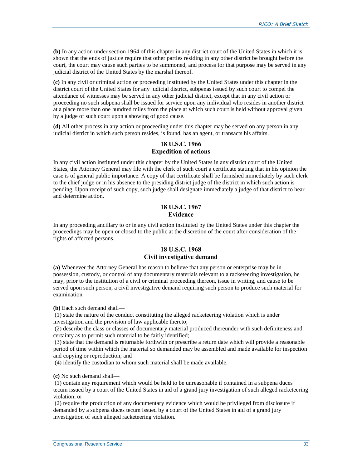**(b)** In any action under section 1964 of this chapter in any district court of the United States in which it is shown that the ends of justice require that other parties residing in any other district be brought before the court, the court may cause such parties to be summoned, and process for that purpose may be served in any judicial district of the United States by the marshal thereof.

**(c)** In any civil or criminal action or proceeding instituted by the United States under this chapter in the district court of the United States for any judicial district, subpenas issued by such court to compel the attendance of witnesses may be served in any other judicial district, except that in any civil action or proceeding no such subpena shall be issued for service upon any individual who resides in another district at a place more than one hundred miles from the place at which such court is held without approval given by a judge of such court upon a showing of good cause.

**(d)** All other process in any action or proceeding under this chapter may be served on any person in any judicial district in which such person resides, is found, has an agent, or transacts his affairs.

#### **18 U.S.C. 1966 Expedition of actions**

In any civil action instituted under this chapter by the United States in any district court of the United States, the Attorney General may file with the clerk of such court a certificate stating that in his opinion the case is of general public importance. A copy of that certificate shall be furnished immediately by such clerk to the chief judge or in his absence to the presiding district judge of the district in which such action is pending. Upon receipt of such copy, such judge shall designate immediately a judge of that district to hear and determine action.

#### **18 U.S.C. 1967 Evidence**

In any proceeding ancillary to or in any civil action instituted by the United States under this chapter the proceedings may be open or closed to the public at the discretion of the court after consideration of the rights of affected persons.

#### **18 U.S.C. 1968 Civil investigative demand**

**(a)** Whenever the Attorney General has reason to believe that any person or enterprise may be in possession, custody, or control of any documentary materials relevant to a racketeering investigation, he may, prior to the institution of a civil or criminal proceeding thereon, issue in writing, and cause to be served upon such person, a civil investigative demand requiring such person to produce such material for examination.

**(b)** Each such demand shall—

(1) state the nature of the conduct constituting the alleged racketeering violation which is under investigation and the provision of law applicable thereto;

(2) describe the class or classes of documentary material produced thereunder with such definiteness and certainty as to permit such material to be fairly identified;

(3) state that the demand is returnable forthwith or prescribe a return date which will provide a reasonable period of time within which the material so demanded may be assembled and made available for inspection and copying or reproduction; and

(4) identify the custodian to whom such material shall be made available.

**(c)** No such demand shall—

(1) contain any requirement which would be held to be unreasonable if contained in a subpena duces tecum issued by a court of the United States in aid of a grand jury investigation of such alleged racketeering violation; or

(2) require the production of any documentary evidence which would be privileged from disclosure if demanded by a subpena duces tecum issued by a court of the United States in aid of a grand jury investigation of such alleged racketeering violation.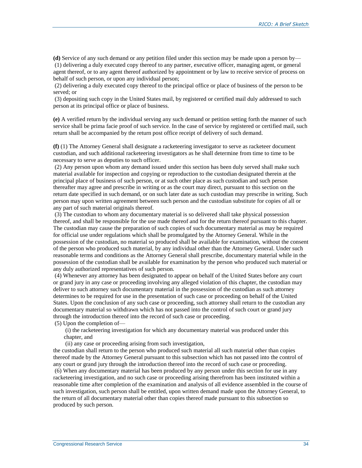**(d)** Service of any such demand or any petition filed under this section may be made upon a person by— (1) delivering a duly executed copy thereof to any partner, executive officer, managing agent, or general agent thereof, or to any agent thereof authorized by appointment or by law to receive service of process on behalf of such person, or upon any individual person;

(2) delivering a duly executed copy thereof to the principal office or place of business of the person to be served; or

(3) depositing such copy in the United States mail, by registered or certified mail duly addressed to such person at its principal office or place of business.

**(e)** A verified return by the individual serving any such demand or petition setting forth the manner of such service shall be prima facie proof of such service. In the case of service by registered or certified mail, such return shall be accompanied by the return post office receipt of delivery of such demand.

**(f)** (1) The Attorney General shall designate a racketeering investigator to serve as racketeer document custodian, and such additional racketeering investigators as he shall determine from time to time to be necessary to serve as deputies to such officer.

(2) Any person upon whom any demand issued under this section has been duly served shall make such material available for inspection and copying or reproduction to the custodian designated therein at the principal place of business of such person, or at such other place as such custodian and such person thereafter may agree and prescribe in writing or as the court may direct, pursuant to this section on the return date specified in such demand, or on such later date as such custodian may prescribe in writing. Such person may upon written agreement between such person and the custodian substitute for copies of all or any part of such material originals thereof.

(3) The custodian to whom any documentary material is so delivered shall take physical possession thereof, and shall be responsible for the use made thereof and for the return thereof pursuant to this chapter. The custodian may cause the preparation of such copies of such documentary material as may be required for official use under regulations which shall be promulgated by the Attorney General. While in the possession of the custodian, no material so produced shall be available for examination, without the consent of the person who produced such material, by any individual other than the Attorney General. Under such reasonable terms and conditions as the Attorney General shall prescribe, documentary material while in the possession of the custodian shall be available for examination by the person who produced such material or any duly authorized representatives of such person.

(4) Whenever any attorney has been designated to appear on behalf of the United States before any court or grand jury in any case or proceeding involving any alleged violation of this chapter, the custodian may deliver to such attorney such documentary material in the possession of the custodian as such attorney determines to be required for use in the presentation of such case or proceeding on behalf of the United States. Upon the conclusion of any such case or proceeding, such attorney shall return to the custodian any documentary material so withdrawn which has not passed into the control of such court or grand jury through the introduction thereof into the record of such case or proceeding.

(5) Upon the completion of—

(i) the racketeering investigation for which any documentary material was produced under this chapter, and

(ii) any case or proceeding arising from such investigation,

the custodian shall return to the person who produced such material all such material other than copies thereof made by the Attorney General pursuant to this subsection which has not passed into the control of any court or grand jury through the introduction thereof into the record of such case or proceeding. (6) When any documentary material has been produced by any person under this section for use in any racketeering investigation, and no such case or proceeding arising therefrom has been instituted within a reasonable time after completion of the examination and analysis of all evidence assembled in the course of such investigation, such person shall be entitled, upon written demand made upon the Attorney General, to the return of all documentary material other than copies thereof made pursuant to this subsection so produced by such person.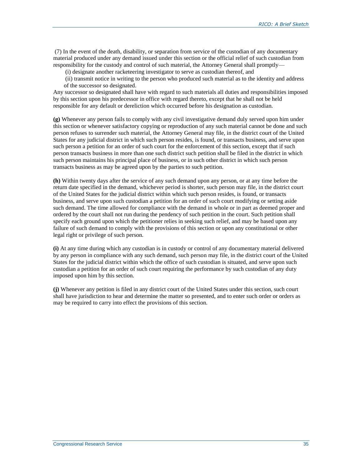(7) In the event of the death, disability, or separation from service of the custodian of any documentary material produced under any demand issued under this section or the official relief of such custodian from responsibility for the custody and control of such material, the Attorney General shall promptly—

(i) designate another racketeering investigator to serve as custodian thereof, and

(ii) transmit notice in writing to the person who produced such material as to the identity and address of the successor so designated.

Any successor so designated shall have with regard to such materials all duties and responsibilities imposed by this section upon his predecessor in office with regard thereto, except that he shall not be held responsible for any default or dereliction which occurred before his designation as custodian.

**(g)** Whenever any person fails to comply with any civil investigative demand duly served upon him under this section or whenever satisfactory copying or reproduction of any such material cannot be done and such person refuses to surrender such material, the Attorney General may file, in the district court of the United States for any judicial district in which such person resides, is found, or transacts business, and serve upon such person a petition for an order of such court for the enforcement of this section, except that if such person transacts business in more than one such district such petition shall be filed in the district in which such person maintains his principal place of business, or in such other district in which such person transacts business as may be agreed upon by the parties to such petition.

**(h)** Within twenty days after the service of any such demand upon any person, or at any time before the return date specified in the demand, whichever period is shorter, such person may file, in the district court of the United States for the judicial district within which such person resides, is found, or transacts business, and serve upon such custodian a petition for an order of such court modifying or setting aside such demand. The time allowed for compliance with the demand in whole or in part as deemed proper and ordered by the court shall not run during the pendency of such petition in the court. Such petition shall specify each ground upon which the petitioner relies in seeking such relief, and may be based upon any failure of such demand to comply with the provisions of this section or upon any constitutional or other legal right or privilege of such person.

**(i)** At any time during which any custodian is in custody or control of any documentary material delivered by any person in compliance with any such demand, such person may file, in the district court of the United States for the judicial district within which the office of such custodian is situated, and serve upon such custodian a petition for an order of such court requiring the performance by such custodian of any duty imposed upon him by this section.

**(j)** Whenever any petition is filed in any district court of the United States under this section, such court shall have jurisdiction to hear and determine the matter so presented, and to enter such order or orders as may be required to carry into effect the provisions of this section.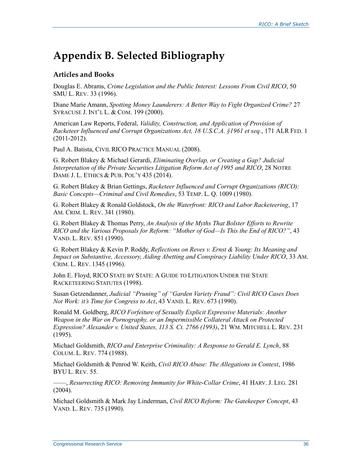# **Appendix B. Selected Bibliography**

## **Articles and Books**

Douglas E. Abrams, *Crime Legislation and the Public Interest: Lessons From Civil RICO*, 50 SMU L. REV. 33 (1996).

Diane Marie Amann, *Spotting Money Launderers: A Better Way to Fight Organized Crime?* 27 SYRACUSE J. INT'L L. & COM. 199 (2000).

American Law Reports, Federal, *Validity, Construction, and Application of Provision of Racketeer Influenced and Corrupt Organizations Act, 18 U.S.C.A. §1961 et seq.*, 171 ALR FED. 1 (2011-2012).

Paul A. Batista, CIVIL RICO PRACTICE MANUAL (2008).

G. Robert Blakey & Michael Gerardi, *Eliminating Overlap, or Creating a Gap? Judicial Interpretation of the Private Securities Litigation Reform Act of 1995 and RICO*, 28 NOTRE DAME J. L. ETHICS & PUB. POL'Y 435 (2014).

G. Robert Blakey & Brian Gettings, *Racketeer Influenced and Corrupt Organizations (RICO): Basic Concepts—Criminal and Civil Remedies*, 53 TEMP. L. Q. 1009 (1980).

G. Robert Blakey & Ronald Goldstock, *On the Waterfront: RICO and Labor Racketeering*, 17 AM. CRIM. L. REV. 341 (1980).

G. Robert Blakey & Thomas Perry, *An Analysis of the Myths That Bolster Efforts to Rewrite RICO and the Various Proposals for Reform: "Mother of God—Is This the End of RICO?"*, 43 VAND. L. REV. 851 (1990).

G. Robert Blakey & Kevin P. Roddy, *Reflections on Reves v. Ernst & Young: Its Meaning and Impact on Substantive, Accessory, Aiding Abetting and Conspiracy Liability Under RICO*, 33 AM. CRIM. L. REV. 1345 (1996).

John E. Floyd, RICO STATE BY STATE: A GUIDE TO LITIGATION UNDER THE STATE RACKETEERING STATUTES (1998).

Susan Getzendanner, *Judicial "Pruning" of "Garden Variety Fraud": Civil RICO Cases Does Not Work: it's Time for Congress to Act*, 43 VAND. L. REV. 673 (1990).

Ronald M. Goldberg, *RICO Forfeiture of Sexually Explicit Expressive Materials: Another Weapon in the War on Pornography, or an Impermissible Collateral Attack on Protected Expression? Alexander v. United States, 113 S. Ct. 2766 (1993)*, 21 WM. MITCHELL L. REV. 231 (1995).

Michael Goldsmith, *RICO and Enterprise Criminality: A Response to Gerald E. Lynch*, 88 COLUM. L. REV. 774 (1988).

Michael Goldsmith & Penrod W. Keith, *Civil RICO Abuse: The Allegations in Context*, 1986 BYU L. REV. 55.

——, *Resurrecting RICO: Removing Immunity for White-Collar Crime*, 41 HARV. J. LEG. 281 (2004).

Michael Goldsmith & Mark Jay Linderman, *Civil RICO Reform: The Gatekeeper Concept*, 43 VAND. L. REV. 735 (1990).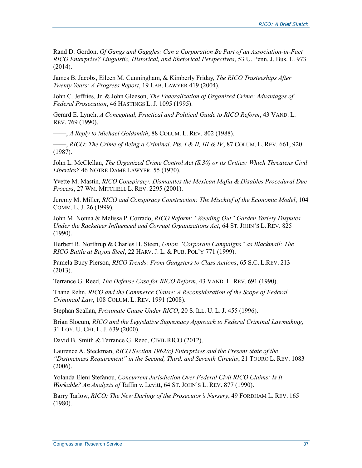Rand D. Gordon, *Of Gangs and Gaggles: Can a Corporation Be Part of an Association-in-Fact RICO Enterprise? Linguistic, Historical, and Rhetorical Perspectives*, 53 U. Penn. J. Bus. L. 973 (2014).

James B. Jacobs, Eileen M. Cunningham, & Kimberly Friday, *The RICO Trusteeships After Twenty Years: A Progress Report*, 19 LAB. LAWYER 419 (2004).

John C. Jeffries, Jr. & John Gleeson, *The Federalization of Organized Crime: Advantages of Federal Prosecution*, 46 HASTINGS L. J. 1095 (1995).

Gerard E. Lynch, *A Conceptual, Practical and Political Guide to RICO Reform*, 43 VAND. L. REV. 769 (1990).

——, *A Reply to Michael Goldsmith*, 88 COLUM. L. REV. 802 (1988).

——, *RICO: The Crime of Being a Criminal, Pts. I & II, III & IV*, 87 COLUM. L. REV. 661, 920 (1987).

John L. McClellan, *The Organized Crime Control Act (S.30) or its Critics: Which Threatens Civil Liberties?* 46 NOTRE DAME LAWYER. 55 (1970).

Yvette M. Mastin, *RICO Conspiracy: Dismantles the Mexican Mafia & Disables Procedural Due Process*, 27 WM. MITCHELL L. REV. 2295 (2001).

Jeremy M. Miller, *RICO and Conspiracy Construction: The Mischief of the Economic Model*, 104 COMM. L. J. 26 (1999).

John M. Nonna & Melissa P. Corrado, *RICO Reform: "Weeding Out" Garden Variety Disputes Under the Racketeer Influenced and Corrupt Organizations Act*, 64 ST. JOHN'S L. REV. 825 (1990).

Herbert R. Northrup & Charles H. Steen, *Union "Corporate Campaigns" as Blackmail: The RICO Battle at Bayou Steel*, 22 HARV. J. L. & PUB. POL'Y 771 (1999).

Pamela Bucy Pierson, *RICO Trends: From Gangsters to Class Actions*, 65 S.C. L.REV. 213 (2013).

Terrance G. Reed, *The Defense Case for RICO Reform*, 43 VAND. L. REV. 691 (1990).

Thane Rehn, *RICO and the Commerce Clause: A Reconsideration of the Scope of Federal Criminaol Law*, 108 COLUM. L. REV. 1991 (2008).

Stephan Scallan, *Proximate Cause Under RICO*, 20 S. ILL. U. L. J. 455 (1996).

Brian Slocum*, RICO and the Legislative Supremacy Approach to Federal Criminal Lawmaking*, 31 LOY. U. CHI. L. J. 639 (2000).

David B. Smith & Terrance G. Reed, CIVIL RICO (2012).

Laurence A. Steckman, *RICO Section 1962(c) Enterprises and the Present State of the "Distinctness Requirement" in the Second, Third, and Seventh Circuits*, 21 TOURO L. REV. 1083 (2006).

Yolanda Eleni Stefanou, *Concurrent Jurisdiction Over Federal Civil RICO Claims: Is It Workable? An Analysis of* Taffin v. Levitt, 64 ST. JOHN'S L. REV. 877 (1990).

Barry Tarlow, *RICO: The New Darling of the Prosecutor's Nursery*, 49 FORDHAM L. REV. 165 (1980).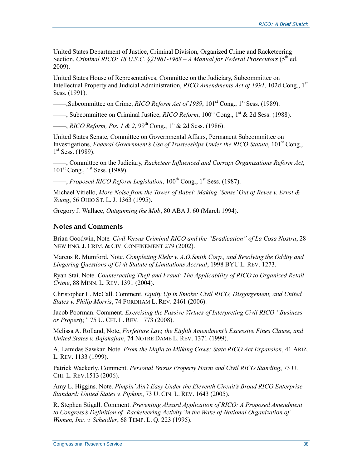United States Department of Justice, Criminal Division, Organized Crime and Racketeering Section, *Criminal RICO: 18 U.S.C.* §§1961-1968 – A Manual for Federal Prosecutors (5<sup>th</sup> ed. 2009).

United States House of Representatives, Committee on the Judiciary, Subcommittee on Intellectual Property and Judicial Administration, *RICO Amendments Act of 1991*, 102d Cong., 1st Sess. (1991).

——,Subcommittee on Crime, *RICO Reform Act of 1989*, 101<sup>st</sup> Cong., 1<sup>st</sup> Sess. (1989).

——, Subcommittee on Criminal Justice, *RICO Reform*, 100<sup>th</sup> Cong., 1<sup>st</sup> & 2d Sess. (1988).

——, *RICO Reform, Pts. 1 & 2*, 99<sup>th</sup> Cong., 1<sup>st</sup> & 2d Sess. (1986).

United States Senate, Committee on Governmental Affairs, Permanent Subcommittee on Investigations, *Federal Government's Use of Trusteeships Under the RICO Statute*, 101<sup>st</sup> Cong., 1<sup>st</sup> Sess. (1989).

——, Committee on the Judiciary, *Racketeer Influenced and Corrupt Organizations Reform Act*,  $101<sup>st</sup>$  Cong.,  $1<sup>st</sup>$  Sess. (1989).

——, *Proposed RICO Reform Legislation*, 100th Cong., 1st Sess. (1987).

Michael Vitiello, *More Noise from the Tower of Babel: Making 'Sense' Out of Reves v. Ernst & Young*, 56 OHIO ST. L. J. 1363 (1995).

Gregory J. Wallace, *Outgunning the Mob*, 80 ABA J. 60 (March 1994).

#### **Notes and Comments**

Brian Goodwin, Note*. Civil Versus Criminal RICO and the "Eradication" of La Cosa Nostra*, 28 NEW ENG. J. CRIM. & CIV. CONFINEMENT 279 (2002).

Marcus R. Mumford. Note*. Completing Klehr v. A.O.Smith Corp., and Resolving the Oddity and Lingering Questions of Civil Statute of Limitations Accrual*, 1998 BYU L. REV. 1273.

Ryan Stai. Note. *Counteracting Theft and Fraud: The Applicability of RICO to Organized Retail Crime*, 88 MINN. L. REV. 1391 (2004).

Christopher L. McCall. Comment. *Equity Up in Smoke: Civil RICO, Disgorgement, and United States v. Philip Morris*, 74 FORDHAM L. REV. 2461 (2006).

Jacob Poorman. Comment. *Exercising the Passive Virtues of Interpreting Civil RICO "Business or Property,"* 75 U. CHI. L. REV. 1773 (2008).

Melissa A. Rolland, Note, *Forfeiture Law, the Eighth Amendment's Excessive Fines Clause, and United States v. Bajakajian*, 74 NOTRE DAME L. REV. 1371 (1999).

A. Lamidas Sawkar. Note. *From the Mafia to Milking Cows: State RICO Act Expansion*, 41 ARIZ. L. REV. 1133 (1999).

Patrick Wackerly. Comment. *Personal Versus Property Harm and Civil RICO Standing*, 73 U. CHI. L. REV.1513 (2006).

Amy L. Higgins. Note. *Pimpin' Ain't Easy Under the Eleventh Circuit's Broad RICO Enterprise Standard: United States v. Pipkins*, 73 U. CIN. L. REV. 1643 (2005).

R. Stephen Stigall. Comment. *Preventing Absurd Application of RICO: A Proposed Amendment to Congress's Definition of 'Racketeering Activity' in the Wake of National Organization of Women, Inc. v. Scheidler*, 68 TEMP. L. Q. 223 (1995).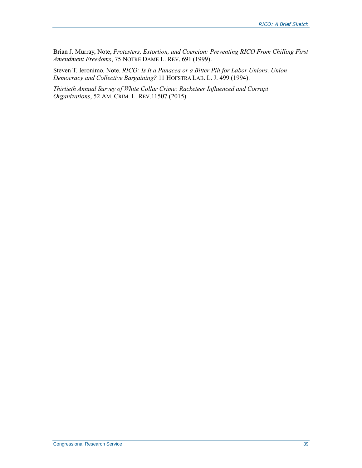Brian J. Murray, Note, *Protesters, Extortion, and Coercion: Preventing RICO From Chilling First Amendment Freedoms*, 75 NOTRE DAME L. REV. 691 (1999).

Steven T. Ieronimo. Note. *RICO: Is It a Panacea or a Bitter Pill for Labor Unions, Union Democracy and Collective Bargaining?* 11 HOFSTRA LAB. L. J. 499 (1994).

*Thirtieth Annual Survey of White Collar Crime: Racketeer Influenced and Corrupt Organizations*, 52 AM. CRIM. L. REV.11507 (2015).